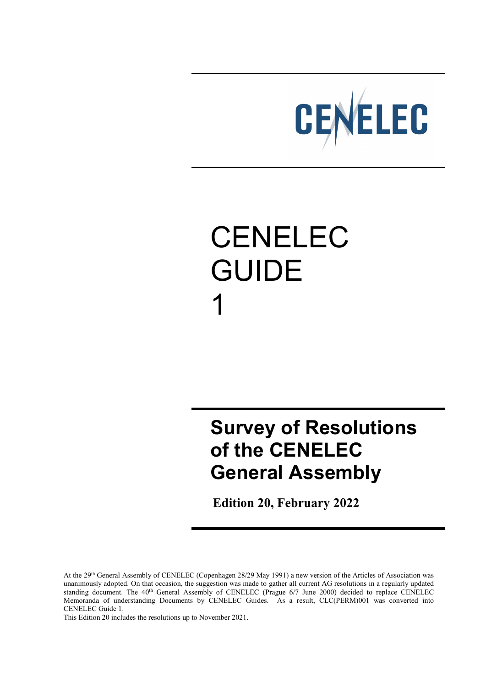

# CENELEC GUIDE 1

## **Survey of Resolutions of the CENELEC General Assembly**

 **Edition 20, February 2022**

At the 29th General Assembly of CENELEC (Copenhagen 28/29 May 1991) a new version of the Articles of Association was unanimously adopted. On that occasion, the suggestion was made to gather all current AG resolutions in a regularly updated standing document. The 40<sup>th</sup> General Assembly of CENELEC (Prague 6/7 June 2000) decided to replace CENELEC Memoranda of understanding Documents by CENELEC Guides. As a result, CLC(PERM)001 was converted into CENELEC Guide 1.

This Edition 20 includes the resolutions up to November 2021.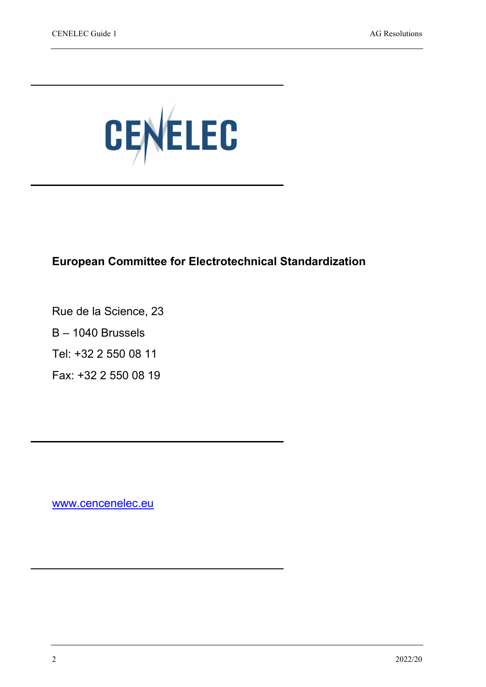

#### **European Committee for Electrotechnical Standardization**

Rue de la Science, 23

B – 1040 Brussels

Tel: +32 2 550 08 11

Fax: +32 2 550 08 19

[www.cencenelec.eu](http://www.cencenelec.eu/)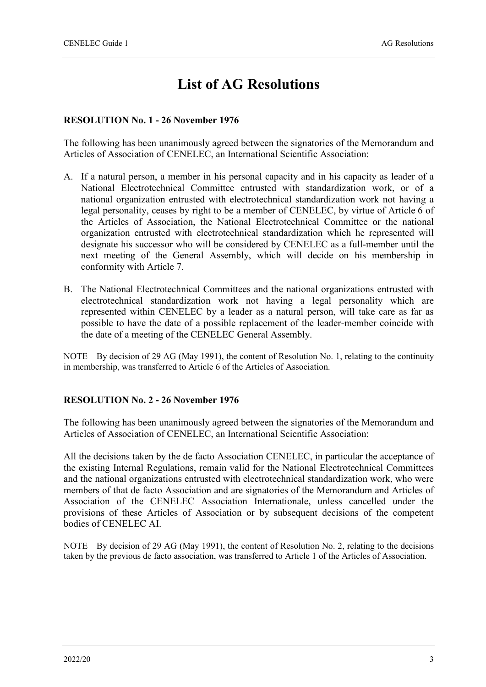## **List of AG Resolutions**

#### **RESOLUTION No. 1 - 26 November 1976**

The following has been unanimously agreed between the signatories of the Memorandum and Articles of Association of CENELEC, an International Scientific Association:

- A. If a natural person, a member in his personal capacity and in his capacity as leader of a National Electrotechnical Committee entrusted with standardization work, or of a national organization entrusted with electrotechnical standardization work not having a legal personality, ceases by right to be a member of CENELEC, by virtue of Article 6 of the Articles of Association, the National Electrotechnical Committee or the national organization entrusted with electrotechnical standardization which he represented will designate his successor who will be considered by CENELEC as a full-member until the next meeting of the General Assembly, which will decide on his membership in conformity with Article 7.
- B. The National Electrotechnical Committees and the national organizations entrusted with electrotechnical standardization work not having a legal personality which are represented within CENELEC by a leader as a natural person, will take care as far as possible to have the date of a possible replacement of the leader-member coincide with the date of a meeting of the CENELEC General Assembly.

NOTE By decision of 29 AG (May 1991), the content of Resolution No. 1, relating to the continuity in membership, was transferred to Article 6 of the Articles of Association.

#### **RESOLUTION No. 2 - 26 November 1976**

The following has been unanimously agreed between the signatories of the Memorandum and Articles of Association of CENELEC, an International Scientific Association:

All the decisions taken by the de facto Association CENELEC, in particular the acceptance of the existing Internal Regulations, remain valid for the National Electrotechnical Committees and the national organizations entrusted with electrotechnical standardization work, who were members of that de facto Association and are signatories of the Memorandum and Articles of Association of the CENELEC Association Internationale, unless cancelled under the provisions of these Articles of Association or by subsequent decisions of the competent bodies of CENELEC AI.

NOTE By decision of 29 AG (May 1991), the content of Resolution No. 2, relating to the decisions taken by the previous de facto association, was transferred to Article 1 of the Articles of Association.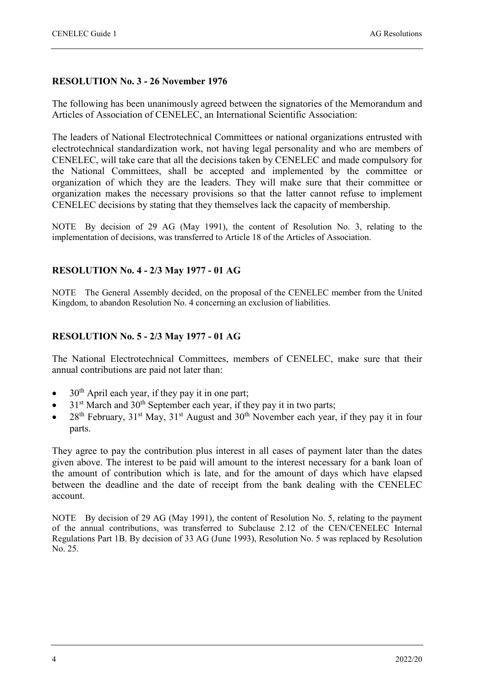#### **RESOLUTION No. 3 - 26 November 1976**

The following has been unanimously agreed between the signatories of the Memorandum and Articles of Association of CENELEC, an International Scientific Association:

The leaders of National Electrotechnical Committees or national organizations entrusted with electrotechnical standardization work, not having legal personality and who are members of CENELEC, will take care that all the decisions taken by CENELEC and made compulsory for the National Committees, shall be accepted and implemented by the committee or organization of which they are the leaders. They will make sure that their committee or organization makes the necessary provisions so that the latter cannot refuse to implement CENELEC decisions by stating that they themselves lack the capacity of membership.

NOTE By decision of 29 AG (May 1991), the content of Resolution No. 3, relating to the implementation of decisions, was transferred to Article 18 of the Articles of Association.

#### **RESOLUTION No. 4 - 2/3 May 1977 - 01 AG**

NOTE The General Assembly decided, on the proposal of the CENELEC member from the United Kingdom, to abandon Resolution No. 4 concerning an exclusion of liabilities.

#### **RESOLUTION No. 5 - 2/3 May 1977 - 01 AG**

The National Electrotechnical Committees, members of CENELEC, make sure that their annual contributions are paid not later than:

- $30<sup>th</sup>$  April each year, if they pay it in one part;
- $31<sup>st</sup>$  March and  $30<sup>th</sup>$  September each year, if they pay it in two parts;
- $28<sup>th</sup>$  February,  $31<sup>st</sup>$  May,  $31<sup>st</sup>$  August and  $30<sup>th</sup>$  November each year, if they pay it in four parts.

They agree to pay the contribution plus interest in all cases of payment later than the dates given above. The interest to be paid will amount to the interest necessary for a bank loan of the amount of contribution which is late, and for the amount of days which have elapsed between the deadline and the date of receipt from the bank dealing with the CENELEC account.

NOTE By decision of 29 AG (May 1991), the content of Resolution No. 5, relating to the payment of the annual contributions, was transferred to Subclause 2.12 of the CEN/CENELEC Internal Regulations Part 1B. By decision of 33 AG (June 1993), Resolution No. 5 was replaced by Resolution No. 25.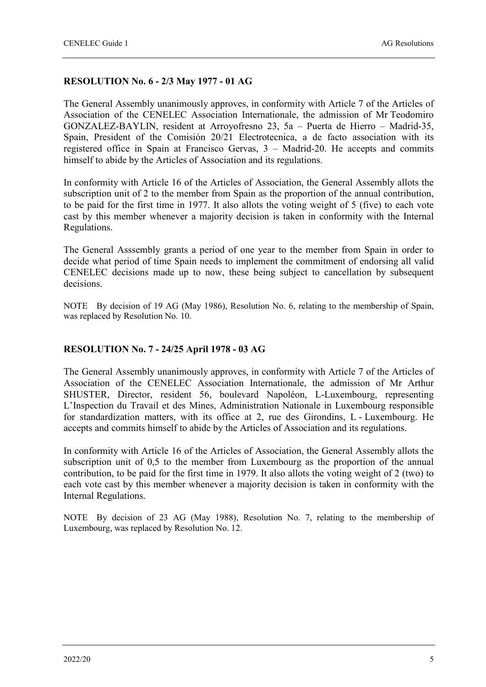#### **RESOLUTION No. 6 - 2/3 May 1977 - 01 AG**

The General Assembly unanimously approves, in conformity with Article 7 of the Articles of Association of the CENELEC Association Internationale, the admission of Mr Teodomiro GONZALEZ-BAYLIN, resident at Arroyofresno 23, 5a – Puerta de Hierro – Madrid-35, Spain, President of the Comisión 20/21 Electrotecnica, a de facto association with its registered office in Spain at Francisco Gervas, 3 – Madrid-20. He accepts and commits himself to abide by the Articles of Association and its regulations.

In conformity with Article 16 of the Articles of Association, the General Assembly allots the subscription unit of 2 to the member from Spain as the proportion of the annual contribution, to be paid for the first time in 1977. It also allots the voting weight of 5 (five) to each vote cast by this member whenever a majority decision is taken in conformity with the Internal Regulations.

The General Asssembly grants a period of one year to the member from Spain in order to decide what period of time Spain needs to implement the commitment of endorsing all valid CENELEC decisions made up to now, these being subject to cancellation by subsequent decisions.

NOTE By decision of 19 AG (May 1986), Resolution No. 6, relating to the membership of Spain, was replaced by Resolution No. 10.

#### **RESOLUTION No. 7 - 24/25 April 1978 - 03 AG**

The General Assembly unanimously approves, in conformity with Article 7 of the Articles of Association of the CENELEC Association Internationale, the admission of Mr Arthur SHUSTER, Director, resident 56, boulevard Napoléon, L-Luxembourg, representing L'Inspection du Travail et des Mines, Administration Nationale in Luxembourg responsible for standardization matters, with its office at 2, rue des Girondins, L - Luxembourg. He accepts and commits himself to abide by the Articles of Association and its regulations.

In conformity with Article 16 of the Articles of Association, the General Assembly allots the subscription unit of 0,5 to the member from Luxembourg as the proportion of the annual contribution, to be paid for the first time in 1979. It also allots the voting weight of 2 (two) to each vote cast by this member whenever a majority decision is taken in conformity with the Internal Regulations.

NOTE By decision of 23 AG (May 1988), Resolution No. 7, relating to the membership of Luxembourg, was replaced by Resolution No. 12.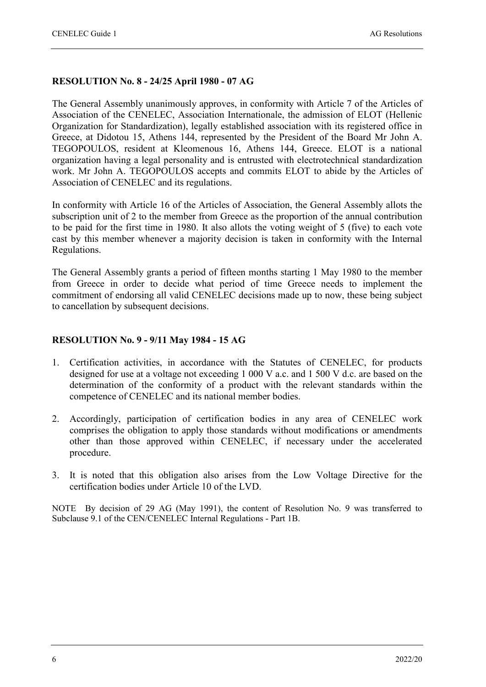#### **RESOLUTION No. 8 - 24/25 April 1980 - 07 AG**

The General Assembly unanimously approves, in conformity with Article 7 of the Articles of Association of the CENELEC, Association Internationale, the admission of ELOT (Hellenic Organization for Standardization), legally established association with its registered office in Greece, at Didotou 15, Athens 144, represented by the President of the Board Mr John A. TEGOPOULOS, resident at Kleomenous 16, Athens 144, Greece. ELOT is a national organization having a legal personality and is entrusted with electrotechnical standardization work. Mr John A. TEGOPOULOS accepts and commits ELOT to abide by the Articles of Association of CENELEC and its regulations.

In conformity with Article 16 of the Articles of Association, the General Assembly allots the subscription unit of 2 to the member from Greece as the proportion of the annual contribution to be paid for the first time in 1980. It also allots the voting weight of 5 (five) to each vote cast by this member whenever a majority decision is taken in conformity with the Internal Regulations.

The General Assembly grants a period of fifteen months starting 1 May 1980 to the member from Greece in order to decide what period of time Greece needs to implement the commitment of endorsing all valid CENELEC decisions made up to now, these being subject to cancellation by subsequent decisions.

#### **RESOLUTION No. 9 - 9/11 May 1984 - 15 AG**

- 1. Certification activities, in accordance with the Statutes of CENELEC, for products designed for use at a voltage not exceeding 1 000 V a.c. and 1 500 V d.c. are based on the determination of the conformity of a product with the relevant standards within the competence of CENELEC and its national member bodies.
- 2. Accordingly, participation of certification bodies in any area of CENELEC work comprises the obligation to apply those standards without modifications or amendments other than those approved within CENELEC, if necessary under the accelerated procedure.
- 3. It is noted that this obligation also arises from the Low Voltage Directive for the certification bodies under Article 10 of the LVD.

NOTE By decision of 29 AG (May 1991), the content of Resolution No. 9 was transferred to Subclause 9.1 of the CEN/CENELEC Internal Regulations - Part 1B.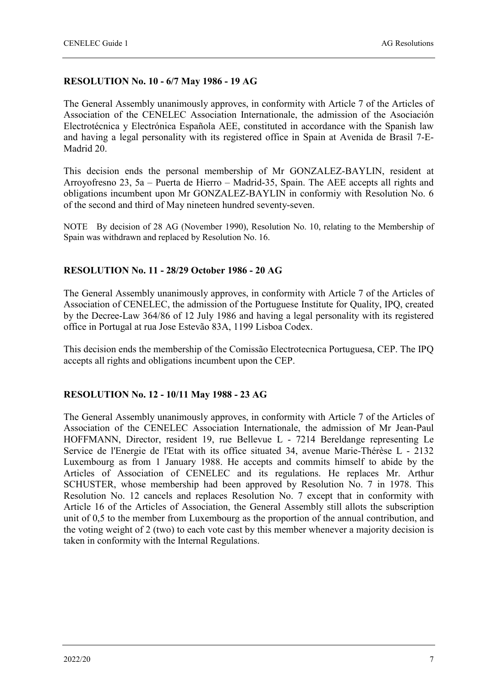#### **RESOLUTION No. 10 - 6/7 May 1986 - 19 AG**

The General Assembly unanimously approves, in conformity with Article 7 of the Articles of Association of the CENELEC Association Internationale, the admission of the Asociación Electrotécnica y Electrónica Española AEE, constituted in accordance with the Spanish law and having a legal personality with its registered office in Spain at Avenida de Brasil 7-E-Madrid 20.

This decision ends the personal membership of Mr GONZALEZ-BAYLIN, resident at Arroyofresno 23, 5a – Puerta de Hierro – Madrid-35, Spain. The AEE accepts all rights and obligations incumbent upon Mr GONZALEZ-BAYLIN in conformiy with Resolution No. 6 of the second and third of May nineteen hundred seventy-seven.

NOTE By decision of 28 AG (November 1990), Resolution No. 10, relating to the Membership of Spain was withdrawn and replaced by Resolution No. 16.

#### **RESOLUTION No. 11 - 28/29 October 1986 - 20 AG**

The General Assembly unanimously approves, in conformity with Article 7 of the Articles of Association of CENELEC, the admission of the Portuguese Institute for Quality, IPQ, created by the Decree-Law 364/86 of 12 July 1986 and having a legal personality with its registered office in Portugal at rua Jose Estevão 83A, 1199 Lisboa Codex.

This decision ends the membership of the Comissão Electrotecnica Portuguesa, CEP. The IPQ accepts all rights and obligations incumbent upon the CEP.

#### **RESOLUTION No. 12 - 10/11 May 1988 - 23 AG**

The General Assembly unanimously approves, in conformity with Article 7 of the Articles of Association of the CENELEC Association Internationale, the admission of Mr Jean-Paul HOFFMANN, Director, resident 19, rue Bellevue L - 7214 Bereldange representing Le Service de l'Energie de l'Etat with its office situated 34, avenue Marie-Thérèse L - 2132 Luxembourg as from 1 January 1988. He accepts and commits himself to abide by the Articles of Association of CENELEC and its regulations. He replaces Mr. Arthur SCHUSTER, whose membership had been approved by Resolution No. 7 in 1978. This Resolution No. 12 cancels and replaces Resolution No. 7 except that in conformity with Article 16 of the Articles of Association, the General Assembly still allots the subscription unit of 0,5 to the member from Luxembourg as the proportion of the annual contribution, and the voting weight of 2 (two) to each vote cast by this member whenever a majority decision is taken in conformity with the Internal Regulations.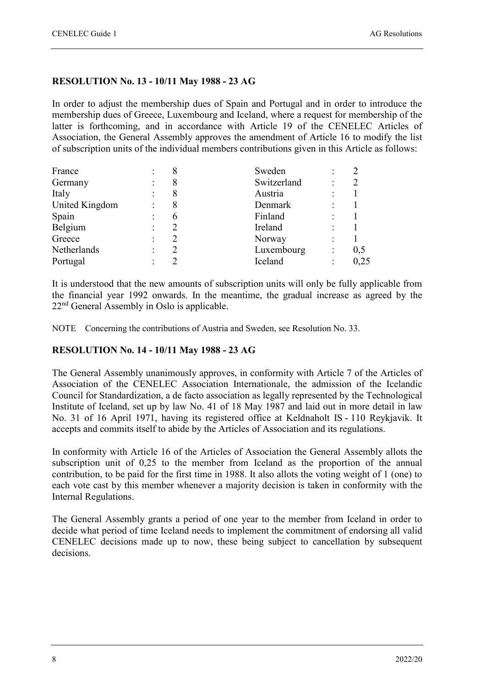#### **RESOLUTION No. 13 - 10/11 May 1988 - 23 AG**

In order to adjust the membership dues of Spain and Portugal and in order to introduce the membership dues of Greece, Luxembourg and Iceland, where a request for membership of the latter is forthcoming, and in accordance with Article 19 of the CENELEC Articles of Association, the General Assembly approves the amendment of Article 16 to modify the list of subscription units of the individual members contributions given in this Article as follows:

| France         |               | Sweden      |      |
|----------------|---------------|-------------|------|
| Germany        | 8             | Switzerland |      |
| Italy          | 8             | Austria     |      |
| United Kingdom | 8             | Denmark     |      |
| Spain          | $\mathfrak b$ | Finland     |      |
| Belgium        |               | Ireland     |      |
| Greece         |               | Norway      |      |
| Netherlands    |               | Luxembourg  | 0,5  |
| Portugal       |               | Iceland     | 0,25 |

It is understood that the new amounts of subscription units will only be fully applicable from the financial year 1992 onwards. In the meantime, the gradual increase as agreed by the 22nd General Assembly in Oslo is applicable.

NOTE Concerning the contributions of Austria and Sweden, see Resolution No. 33.

#### **RESOLUTION No. 14 - 10/11 May 1988 - 23 AG**

The General Assembly unanimously approves, in conformity with Article 7 of the Articles of Association of the CENELEC Association Internationale, the admission of the Icelandic Council for Standardization, a de facto association as legally represented by the Technological Institute of Iceland, set up by law No. 41 of 18 May 1987 and laid out in more detail in law No. 31 of 16 April 1971, having its registered office at Keldnaholt IS - 110 Reykjavik. It accepts and commits itself to abide by the Articles of Association and its regulations.

In conformity with Article 16 of the Articles of Association the General Assembly allots the subscription unit of 0,25 to the member from Iceland as the proportion of the annual contribution, to be paid for the first time in 1988. It also allots the voting weight of 1 (one) to each vote cast by this member whenever a majority decision is taken in conformity with the Internal Regulations.

The General Assembly grants a period of one year to the member from Iceland in order to decide what period of time Iceland needs to implement the commitment of endorsing all valid CENELEC decisions made up to now, these being subject to cancellation by subsequent decisions.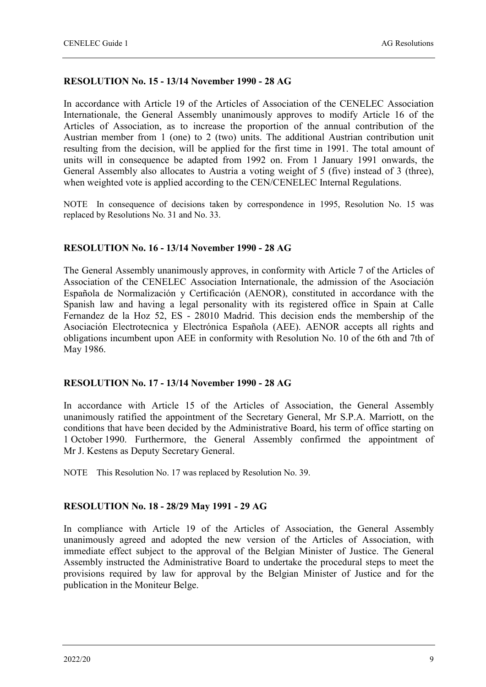#### **RESOLUTION No. 15 - 13/14 November 1990 - 28 AG**

In accordance with Article 19 of the Articles of Association of the CENELEC Association Internationale, the General Assembly unanimously approves to modify Article 16 of the Articles of Association, as to increase the proportion of the annual contribution of the Austrian member from 1 (one) to 2 (two) units. The additional Austrian contribution unit resulting from the decision, will be applied for the first time in 1991. The total amount of units will in consequence be adapted from 1992 on. From 1 January 1991 onwards, the General Assembly also allocates to Austria a voting weight of 5 (five) instead of 3 (three), when weighted vote is applied according to the CEN/CENELEC Internal Regulations.

NOTE In consequence of decisions taken by correspondence in 1995, Resolution No. 15 was replaced by Resolutions No. 31 and No. 33.

#### **RESOLUTION No. 16 - 13/14 November 1990 - 28 AG**

The General Assembly unanimously approves, in conformity with Article 7 of the Articles of Association of the CENELEC Association Internationale, the admission of the Asociación Española de Normalización y Certificación (AENOR), constituted in accordance with the Spanish law and having a legal personality with its registered office in Spain at Calle Fernandez de la Hoz 52, ES - 28010 Madrid. This decision ends the membership of the Asociación Electrotecnica y Electrónica Española (AEE). AENOR accepts all rights and obligations incumbent upon AEE in conformity with Resolution No. 10 of the 6th and 7th of May 1986.

#### **RESOLUTION No. 17 - 13/14 November 1990 - 28 AG**

In accordance with Article 15 of the Articles of Association, the General Assembly unanimously ratified the appointment of the Secretary General, Mr S.P.A. Marriott, on the conditions that have been decided by the Administrative Board, his term of office starting on 1 October 1990. Furthermore, the General Assembly confirmed the appointment of Mr J. Kestens as Deputy Secretary General.

NOTE This Resolution No. 17 was replaced by Resolution No. 39.

#### **RESOLUTION No. 18 - 28/29 May 1991 - 29 AG**

In compliance with Article 19 of the Articles of Association, the General Assembly unanimously agreed and adopted the new version of the Articles of Association, with immediate effect subject to the approval of the Belgian Minister of Justice. The General Assembly instructed the Administrative Board to undertake the procedural steps to meet the provisions required by law for approval by the Belgian Minister of Justice and for the publication in the Moniteur Belge.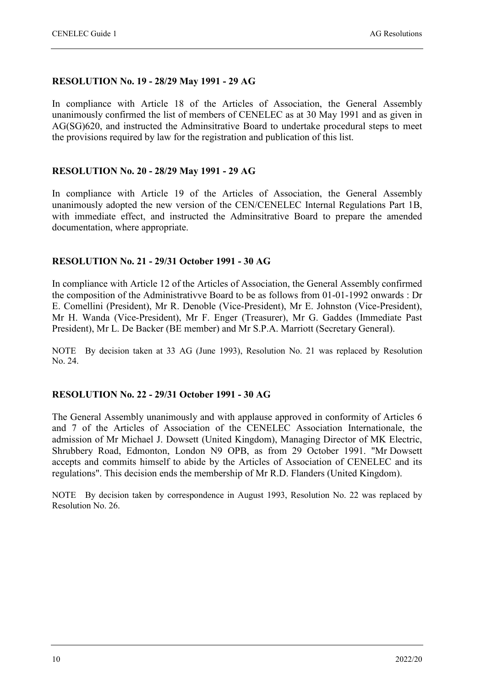#### **RESOLUTION No. 19 - 28/29 May 1991 - 29 AG**

In compliance with Article 18 of the Articles of Association, the General Assembly unanimously confirmed the list of members of CENELEC as at 30 May 1991 and as given in AG(SG)620, and instructed the Adminsitrative Board to undertake procedural steps to meet the provisions required by law for the registration and publication of this list.

#### **RESOLUTION No. 20 - 28/29 May 1991 - 29 AG**

In compliance with Article 19 of the Articles of Association, the General Assembly unanimously adopted the new version of the CEN/CENELEC Internal Regulations Part 1B, with immediate effect, and instructed the Adminsitrative Board to prepare the amended documentation, where appropriate.

#### **RESOLUTION No. 21 - 29/31 October 1991 - 30 AG**

In compliance with Article 12 of the Articles of Association, the General Assembly confirmed the composition of the Administrativve Board to be as follows from 01-01-1992 onwards : Dr E. Comellini (President), Mr R. Denoble (Vice-President), Mr E. Johnston (Vice-President), Mr H. Wanda (Vice-President), Mr F. Enger (Treasurer), Mr G. Gaddes (Immediate Past President), Mr L. De Backer (BE member) and Mr S.P.A. Marriott (Secretary General).

NOTE By decision taken at 33 AG (June 1993), Resolution No. 21 was replaced by Resolution No. 24.

#### **RESOLUTION No. 22 - 29/31 October 1991 - 30 AG**

The General Assembly unanimously and with applause approved in conformity of Articles 6 and 7 of the Articles of Association of the CENELEC Association Internationale, the admission of Mr Michael J. Dowsett (United Kingdom), Managing Director of MK Electric, Shrubbery Road, Edmonton, London N9 OPB, as from 29 October 1991. "Mr Dowsett accepts and commits himself to abide by the Articles of Association of CENELEC and its regulations". This decision ends the membership of Mr R.D. Flanders (United Kingdom).

NOTE By decision taken by correspondence in August 1993, Resolution No. 22 was replaced by Resolution No. 26.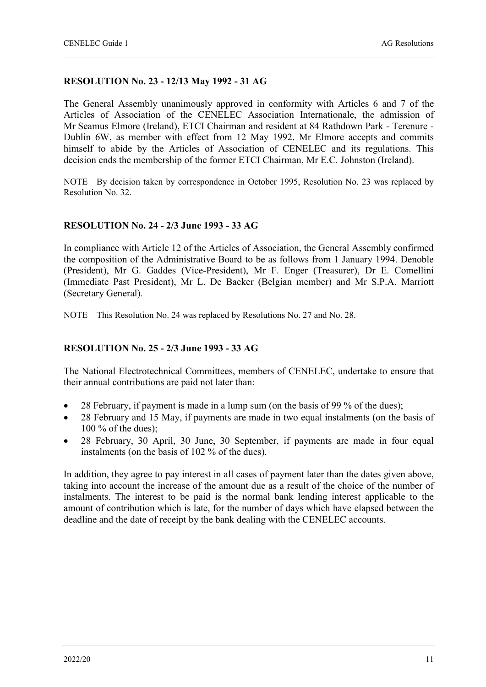#### **RESOLUTION No. 23 - 12/13 May 1992 - 31 AG**

The General Assembly unanimously approved in conformity with Articles 6 and 7 of the Articles of Association of the CENELEC Association Internationale, the admission of Mr Seamus Elmore (Ireland), ETCI Chairman and resident at 84 Rathdown Park - Terenure - Dublin 6W, as member with effect from 12 May 1992. Mr Elmore accepts and commits himself to abide by the Articles of Association of CENELEC and its regulations. This decision ends the membership of the former ETCI Chairman, Mr E.C. Johnston (Ireland).

NOTE By decision taken by correspondence in October 1995, Resolution No. 23 was replaced by Resolution No. 32.

#### **RESOLUTION No. 24 - 2/3 June 1993 - 33 AG**

In compliance with Article 12 of the Articles of Association, the General Assembly confirmed the composition of the Administrative Board to be as follows from 1 January 1994. Denoble (President), Mr G. Gaddes (Vice-President), Mr F. Enger (Treasurer), Dr E. Comellini (Immediate Past President), Mr L. De Backer (Belgian member) and Mr S.P.A. Marriott (Secretary General).

NOTE This Resolution No. 24 was replaced by Resolutions No. 27 and No. 28.

#### **RESOLUTION No. 25 - 2/3 June 1993 - 33 AG**

The National Electrotechnical Committees, members of CENELEC, undertake to ensure that their annual contributions are paid not later than:

- 28 February, if payment is made in a lump sum (on the basis of 99 % of the dues);
- 28 February and 15 May, if payments are made in two equal instalments (on the basis of 100 % of the dues);
- 28 February, 30 April, 30 June, 30 September, if payments are made in four equal instalments (on the basis of 102 % of the dues).

In addition, they agree to pay interest in all cases of payment later than the dates given above, taking into account the increase of the amount due as a result of the choice of the number of instalments. The interest to be paid is the normal bank lending interest applicable to the amount of contribution which is late, for the number of days which have elapsed between the deadline and the date of receipt by the bank dealing with the CENELEC accounts.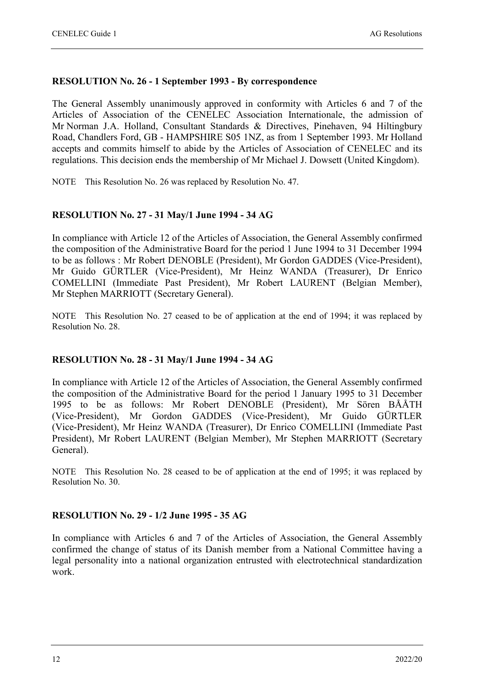#### **RESOLUTION No. 26 - 1 September 1993 - By correspondence**

The General Assembly unanimously approved in conformity with Articles 6 and 7 of the Articles of Association of the CENELEC Association Internationale, the admission of Mr Norman J.A. Holland, Consultant Standards & Directives, Pinehaven, 94 Hiltingbury Road, Chandlers Ford, GB - HAMPSHIRE S05 1NZ, as from 1 September 1993. Mr Holland accepts and commits himself to abide by the Articles of Association of CENELEC and its regulations. This decision ends the membership of Mr Michael J. Dowsett (United Kingdom).

NOTE This Resolution No. 26 was replaced by Resolution No. 47.

#### **RESOLUTION No. 27 - 31 May/1 June 1994 - 34 AG**

In compliance with Article 12 of the Articles of Association, the General Assembly confirmed the composition of the Administrative Board for the period 1 June 1994 to 31 December 1994 to be as follows : Mr Robert DENOBLE (President), Mr Gordon GADDES (Vice-President), Mr Guido GÜRTLER (Vice-President), Mr Heinz WANDA (Treasurer), Dr Enrico COMELLINI (Immediate Past President), Mr Robert LAURENT (Belgian Member), Mr Stephen MARRIOTT (Secretary General).

NOTE This Resolution No. 27 ceased to be of application at the end of 1994; it was replaced by Resolution No. 28.

#### **RESOLUTION No. 28 - 31 May/1 June 1994 - 34 AG**

In compliance with Article 12 of the Articles of Association, the General Assembly confirmed the composition of the Administrative Board for the period 1 January 1995 to 31 December 1995 to be as follows: Mr Robert DENOBLE (President), Mr Sören BÅÅTH (Vice-President), Mr Gordon GADDES (Vice-President), Mr Guido GÜRTLER (Vice-President), Mr Heinz WANDA (Treasurer), Dr Enrico COMELLINI (Immediate Past President), Mr Robert LAURENT (Belgian Member), Mr Stephen MARRIOTT (Secretary General).

NOTE This Resolution No. 28 ceased to be of application at the end of 1995; it was replaced by Resolution No. 30.

#### **RESOLUTION No. 29 - 1/2 June 1995 - 35 AG**

In compliance with Articles 6 and 7 of the Articles of Association, the General Assembly confirmed the change of status of its Danish member from a National Committee having a legal personality into a national organization entrusted with electrotechnical standardization work.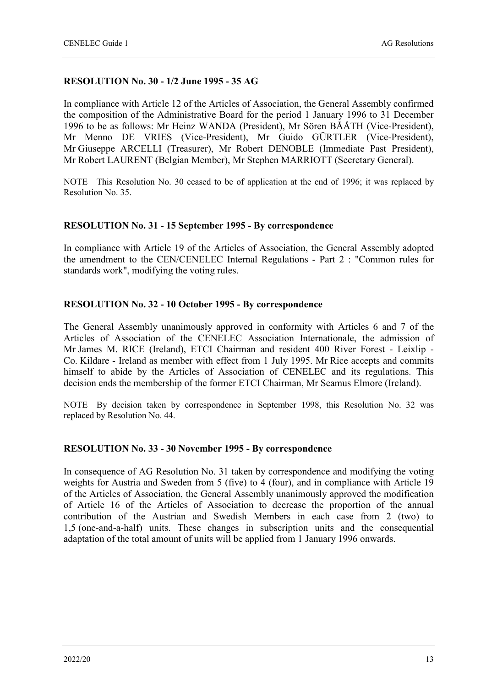#### **RESOLUTION No. 30 - 1/2 June 1995 - 35 AG**

In compliance with Article 12 of the Articles of Association, the General Assembly confirmed the composition of the Administrative Board for the period 1 January 1996 to 31 December 1996 to be as follows: Mr Heinz WANDA (President), Mr Sören BÅÅTH (Vice-President), Mr Menno DE VRIES (Vice-President), Mr Guido GÜRTLER (Vice-President), Mr Giuseppe ARCELLI (Treasurer), Mr Robert DENOBLE (Immediate Past President), Mr Robert LAURENT (Belgian Member), Mr Stephen MARRIOTT (Secretary General).

NOTE This Resolution No. 30 ceased to be of application at the end of 1996; it was replaced by Resolution No. 35.

#### **RESOLUTION No. 31 - 15 September 1995 - By correspondence**

In compliance with Article 19 of the Articles of Association, the General Assembly adopted the amendment to the CEN/CENELEC Internal Regulations - Part 2 : "Common rules for standards work", modifying the voting rules.

#### **RESOLUTION No. 32 - 10 October 1995 - By correspondence**

The General Assembly unanimously approved in conformity with Articles 6 and 7 of the Articles of Association of the CENELEC Association Internationale, the admission of Mr James M. RICE (Ireland), ETCI Chairman and resident 400 River Forest - Leixlip - Co. Kildare - Ireland as member with effect from 1 July 1995. Mr Rice accepts and commits himself to abide by the Articles of Association of CENELEC and its regulations. This decision ends the membership of the former ETCI Chairman, Mr Seamus Elmore (Ireland).

NOTE By decision taken by correspondence in September 1998, this Resolution No. 32 was replaced by Resolution No. 44.

#### **RESOLUTION No. 33 - 30 November 1995 - By correspondence**

In consequence of AG Resolution No. 31 taken by correspondence and modifying the voting weights for Austria and Sweden from 5 (five) to 4 (four), and in compliance with Article 19 of the Articles of Association, the General Assembly unanimously approved the modification of Article 16 of the Articles of Association to decrease the proportion of the annual contribution of the Austrian and Swedish Members in each case from 2 (two) to 1,5 (one-and-a-half) units. These changes in subscription units and the consequential adaptation of the total amount of units will be applied from 1 January 1996 onwards.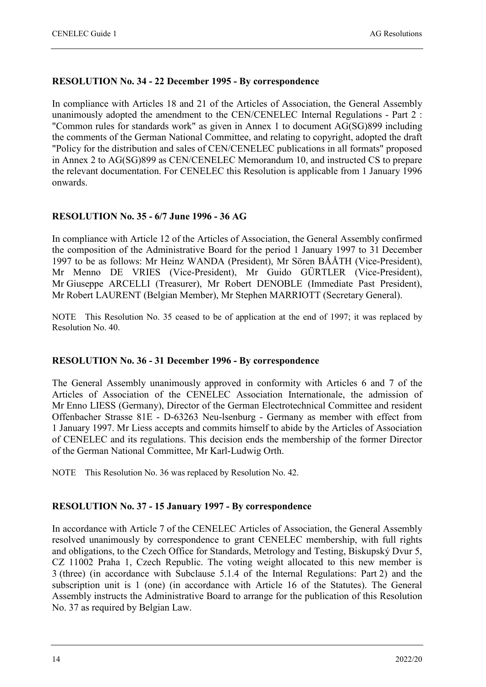#### **RESOLUTION No. 34 - 22 December 1995 - By correspondence**

In compliance with Articles 18 and 21 of the Articles of Association, the General Assembly unanimously adopted the amendment to the CEN/CENELEC Internal Regulations - Part 2 : "Common rules for standards work" as given in Annex 1 to document AG(SG)899 including the comments of the German National Committee, and relating to copyright, adopted the draft "Policy for the distribution and sales of CEN/CENELEC publications in all formats" proposed in Annex 2 to AG(SG)899 as CEN/CENELEC Memorandum 10, and instructed CS to prepare the relevant documentation. For CENELEC this Resolution is applicable from 1 January 1996 onwards.

#### **RESOLUTION No. 35 - 6/7 June 1996 - 36 AG**

In compliance with Article 12 of the Articles of Association, the General Assembly confirmed the composition of the Administrative Board for the period 1 January 1997 to 31 December 1997 to be as follows: Mr Heinz WANDA (President), Mr Sören BÅÅTH (Vice-President), Mr Menno DE VRIES (Vice-President), Mr Guido GÜRTLER (Vice-President), Mr Giuseppe ARCELLI (Treasurer), Mr Robert DENOBLE (Immediate Past President), Mr Robert LAURENT (Belgian Member), Mr Stephen MARRIOTT (Secretary General).

NOTE This Resolution No. 35 ceased to be of application at the end of 1997; it was replaced by Resolution No. 40.

#### **RESOLUTION No. 36 - 31 December 1996 - By correspondence**

The General Assembly unanimously approved in conformity with Articles 6 and 7 of the Articles of Association of the CENELEC Association Internationale, the admission of Mr Enno LIESS (Germany), Director of the German Electrotechnical Committee and resident Offenbacher Strasse 81E - D-63263 Neu-lsenburg - Germany as member with effect from 1 January 1997. Mr Liess accepts and commits himself to abide by the Articles of Association of CENELEC and its regulations. This decision ends the membership of the former Director of the German National Committee, Mr Karl-Ludwig Orth.

NOTE This Resolution No. 36 was replaced by Resolution No. 42.

#### **RESOLUTION No. 37 - 15 January 1997 - By correspondence**

In accordance with Article 7 of the CENELEC Articles of Association, the General Assembly resolved unanimously by correspondence to grant CENELEC membership, with full rights and obligations, to the Czech Office for Standards, Metrology and Testing, Biskupský Dvur 5, CZ 11002 Praha 1, Czech Republic. The voting weight allocated to this new member is 3 (three) (in accordance with Subclause 5.1.4 of the Internal Regulations: Part 2) and the subscription unit is 1 (one) (in accordance with Article 16 of the Statutes). The General Assembly instructs the Administrative Board to arrange for the publication of this Resolution No. 37 as required by Belgian Law.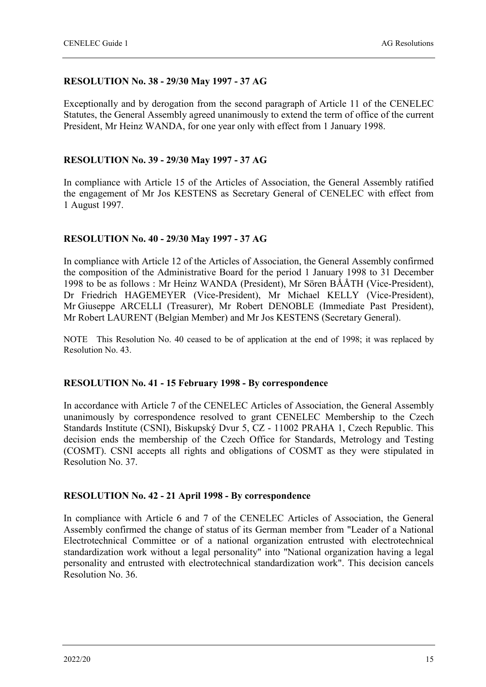#### **RESOLUTION No. 38 - 29/30 May 1997 - 37 AG**

Exceptionally and by derogation from the second paragraph of Article 11 of the CENELEC Statutes, the General Assembly agreed unanimously to extend the term of office of the current President, Mr Heinz WANDA, for one year only with effect from 1 January 1998.

#### **RESOLUTION No. 39 - 29/30 May 1997 - 37 AG**

In compliance with Article 15 of the Articles of Association, the General Assembly ratified the engagement of Mr Jos KESTENS as Secretary General of CENELEC with effect from 1 August 1997.

#### **RESOLUTION No. 40 - 29/30 May 1997 - 37 AG**

In compliance with Article 12 of the Articles of Association, the General Assembly confirmed the composition of the Administrative Board for the period 1 January 1998 to 31 December 1998 to be as follows : Mr Heinz WANDA (President), Mr Sören BÅÅTH (Vice-President), Dr Friedrich HAGEMEYER (Vice-President), Mr Michael KELLY (Vice-President), Mr Giuseppe ARCELLI (Treasurer), Mr Robert DENOBLE (Immediate Past President), Mr Robert LAURENT (Belgian Member) and Mr Jos KESTENS (Secretary General).

NOTE This Resolution No. 40 ceased to be of application at the end of 1998; it was replaced by Resolution No. 43.

#### **RESOLUTION No. 41 - 15 February 1998 - By correspondence**

In accordance with Article 7 of the CENELEC Articles of Association, the General Assembly unanimously by correspondence resolved to grant CENELEC Membership to the Czech Standards Institute (CSNI), Biskupský Dvur 5, CZ - 11002 PRAHA 1, Czech Republic. This decision ends the membership of the Czech Office for Standards, Metrology and Testing (COSMT). CSNI accepts all rights and obligations of COSMT as they were stipulated in Resolution No. 37.

#### **RESOLUTION No. 42 - 21 April 1998 - By correspondence**

In compliance with Article 6 and 7 of the CENELEC Articles of Association, the General Assembly confirmed the change of status of its German member from "Leader of a National Electrotechnical Committee or of a national organization entrusted with electrotechnical standardization work without a legal personality" into "National organization having a legal personality and entrusted with electrotechnical standardization work". This decision cancels Resolution No. 36.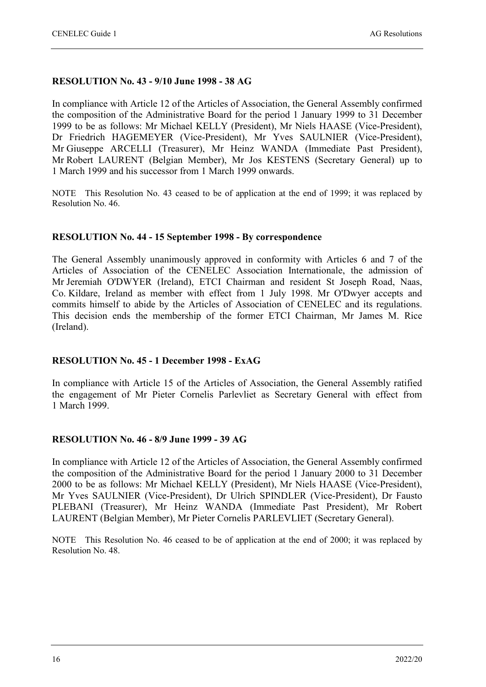#### **RESOLUTION No. 43 - 9/10 June 1998 - 38 AG**

In compliance with Article 12 of the Articles of Association, the General Assembly confirmed the composition of the Administrative Board for the period 1 January 1999 to 31 December 1999 to be as follows: Mr Michael KELLY (President), Mr Niels HAASE (Vice-President), Dr Friedrich HAGEMEYER (Vice-President), Mr Yves SAULNIER (Vice-President), Mr Giuseppe ARCELLI (Treasurer), Mr Heinz WANDA (Immediate Past President), Mr Robert LAURENT (Belgian Member), Mr Jos KESTENS (Secretary General) up to 1 March 1999 and his successor from 1 March 1999 onwards.

NOTE This Resolution No. 43 ceased to be of application at the end of 1999; it was replaced by Resolution No. 46.

#### **RESOLUTION No. 44 - 15 September 1998 - By correspondence**

The General Assembly unanimously approved in conformity with Articles 6 and 7 of the Articles of Association of the CENELEC Association Internationale, the admission of Mr Jeremiah O'DWYER (Ireland), ETCI Chairman and resident St Joseph Road, Naas, Co. Kildare, Ireland as member with effect from 1 July 1998. Mr O'Dwyer accepts and commits himself to abide by the Articles of Association of CENELEC and its regulations. This decision ends the membership of the former ETCI Chairman, Mr James M. Rice (Ireland).

#### **RESOLUTION No. 45 - 1 December 1998 - ExAG**

In compliance with Article 15 of the Articles of Association, the General Assembly ratified the engagement of Mr Pieter Cornelis Parlevliet as Secretary General with effect from 1 March 1999.

#### **RESOLUTION No. 46 - 8/9 June 1999 - 39 AG**

In compliance with Article 12 of the Articles of Association, the General Assembly confirmed the composition of the Administrative Board for the period 1 January 2000 to 31 December 2000 to be as follows: Mr Michael KELLY (President), Mr Niels HAASE (Vice-President), Mr Yves SAULNIER (Vice-President), Dr Ulrich SPINDLER (Vice-President), Dr Fausto PLEBANI (Treasurer), Mr Heinz WANDA (Immediate Past President), Mr Robert LAURENT (Belgian Member), Mr Pieter Cornelis PARLEVLIET (Secretary General).

NOTE This Resolution No. 46 ceased to be of application at the end of 2000; it was replaced by Resolution No. 48.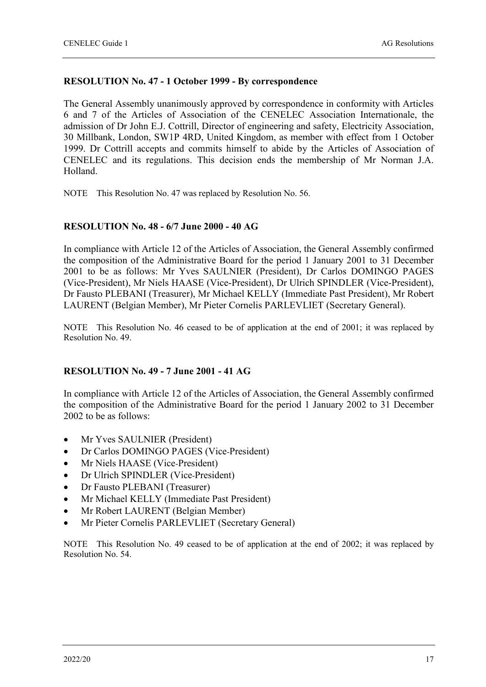#### **RESOLUTION No. 47 - 1 October 1999 - By correspondence**

The General Assembly unanimously approved by correspondence in conformity with Articles 6 and 7 of the Articles of Association of the CENELEC Association Internationale, the admission of Dr John E.J. Cottrill, Director of engineering and safety, Electricity Association, 30 Millbank, London, SW1P 4RD, United Kingdom, as member with effect from 1 October 1999. Dr Cottrill accepts and commits himself to abide by the Articles of Association of CENELEC and its regulations. This decision ends the membership of Mr Norman J.A. Holland.

NOTE This Resolution No. 47 was replaced by Resolution No. 56.

#### **RESOLUTION No. 48 - 6/7 June 2000 - 40 AG**

In compliance with Article 12 of the Articles of Association, the General Assembly confirmed the composition of the Administrative Board for the period 1 January 2001 to 31 December 2001 to be as follows: Mr Yves SAULNIER (President), Dr Carlos DOMINGO PAGES (Vice-President), Mr Niels HAASE (Vice-President), Dr Ulrich SPINDLER (Vice-President), Dr Fausto PLEBANI (Treasurer), Mr Michael KELLY (Immediate Past President), Mr Robert LAURENT (Belgian Member), Mr Pieter Cornelis PARLEVLIET (Secretary General).

NOTE This Resolution No. 46 ceased to be of application at the end of 2001; it was replaced by Resolution No. 49.

#### **RESOLUTION No. 49 - 7 June 2001 - 41 AG**

In compliance with Article 12 of the Articles of Association, the General Assembly confirmed the composition of the Administrative Board for the period 1 January 2002 to 31 December 2002 to be as follows:

- Mr Yves SAULNIER (President)
- Dr Carlos DOMINGO PAGES (Vice-President)
- Mr Niels HAASE (Vice-President)
- Dr Ulrich SPINDLER (Vice-President)
- Dr Fausto PLEBANI (Treasurer)
- Mr Michael KELLY (Immediate Past President)
- Mr Robert LAURENT (Belgian Member)
- Mr Pieter Cornelis PARLEVLIET (Secretary General)

NOTE This Resolution No. 49 ceased to be of application at the end of 2002; it was replaced by Resolution No. 54.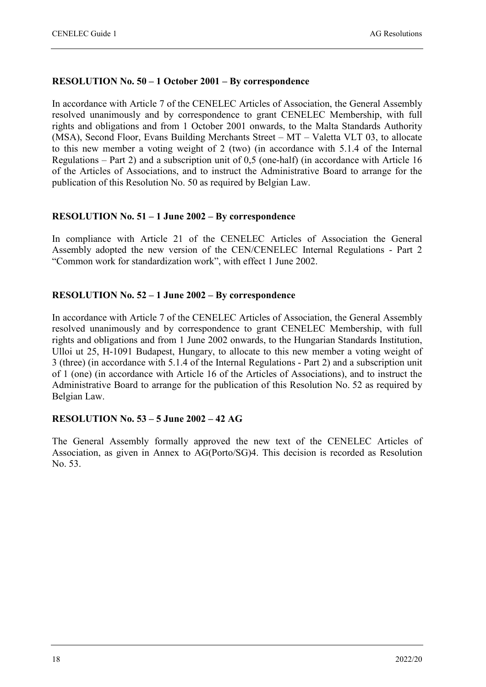#### **RESOLUTION No. 50 – 1 October 2001 – By correspondence**

In accordance with Article 7 of the CENELEC Articles of Association, the General Assembly resolved unanimously and by correspondence to grant CENELEC Membership, with full rights and obligations and from 1 October 2001 onwards, to the Malta Standards Authority (MSA), Second Floor, Evans Building Merchants Street – MT – Valetta VLT 03, to allocate to this new member a voting weight of 2 (two) (in accordance with 5.1.4 of the Internal Regulations – Part 2) and a subscription unit of 0,5 (one-half) (in accordance with Article 16 of the Articles of Associations, and to instruct the Administrative Board to arrange for the publication of this Resolution No. 50 as required by Belgian Law.

#### **RESOLUTION No. 51 – 1 June 2002 – By correspondence**

In compliance with Article 21 of the CENELEC Articles of Association the General Assembly adopted the new version of the CEN/CENELEC Internal Regulations - Part 2 "Common work for standardization work", with effect 1 June 2002.

#### **RESOLUTION No. 52 – 1 June 2002 – By correspondence**

In accordance with Article 7 of the CENELEC Articles of Association, the General Assembly resolved unanimously and by correspondence to grant CENELEC Membership, with full rights and obligations and from 1 June 2002 onwards, to the Hungarian Standards Institution, Ulloi ut 25, H-1091 Budapest, Hungary, to allocate to this new member a voting weight of 3 (three) (in accordance with 5.1.4 of the Internal Regulations - Part 2) and a subscription unit of 1 (one) (in accordance with Article 16 of the Articles of Associations), and to instruct the Administrative Board to arrange for the publication of this Resolution No. 52 as required by Belgian Law.

#### **RESOLUTION No. 53 – 5 June 2002 – 42 AG**

The General Assembly formally approved the new text of the CENELEC Articles of Association, as given in Annex to AG(Porto/SG)4. This decision is recorded as Resolution No. 53.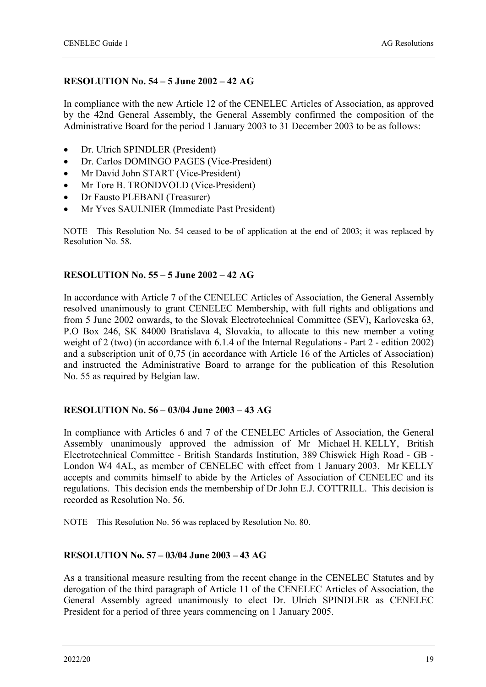#### **RESOLUTION No. 54 – 5 June 2002 – 42 AG**

In compliance with the new Article 12 of the CENELEC Articles of Association, as approved by the 42nd General Assembly, the General Assembly confirmed the composition of the Administrative Board for the period 1 January 2003 to 31 December 2003 to be as follows:

- Dr. Ulrich SPINDLER (President)
- Dr. Carlos DOMINGO PAGES (Vice-President)
- Mr David John START (Vice-President)
- Mr Tore B. TRONDVOLD (Vice-President)
- Dr Fausto PLEBANI (Treasurer)
- Mr Yves SAULNIER (Immediate Past President)

NOTE This Resolution No. 54 ceased to be of application at the end of 2003; it was replaced by Resolution No. 58.

#### **RESOLUTION No. 55 – 5 June 2002 – 42 AG**

In accordance with Article 7 of the CENELEC Articles of Association, the General Assembly resolved unanimously to grant CENELEC Membership, with full rights and obligations and from 5 June 2002 onwards, to the Slovak Electrotechnical Committee (SEV), Karloveska 63, P.O Box 246, SK 84000 Bratislava 4, Slovakia, to allocate to this new member a voting weight of 2 (two) (in accordance with 6.1.4 of the Internal Regulations - Part 2 - edition 2002) and a subscription unit of 0,75 (in accordance with Article 16 of the Articles of Association) and instructed the Administrative Board to arrange for the publication of this Resolution No. 55 as required by Belgian law.

#### **RESOLUTION No. 56 – 03/04 June 2003 – 43 AG**

In compliance with Articles 6 and 7 of the CENELEC Articles of Association, the General Assembly unanimously approved the admission of Mr Michael H. KELLY, British Electrotechnical Committee - British Standards Institution, 389 Chiswick High Road - GB - London W4 4AL, as member of CENELEC with effect from 1 January 2003. Mr KELLY accepts and commits himself to abide by the Articles of Association of CENELEC and its regulations. This decision ends the membership of Dr John E.J. COTTRILL. This decision is recorded as Resolution No. 56.

NOTE This Resolution No. 56 was replaced by Resolution No. 80.

#### **RESOLUTION No. 57 – 03/04 June 2003 – 43 AG**

As a transitional measure resulting from the recent change in the CENELEC Statutes and by derogation of the third paragraph of Article 11 of the CENELEC Articles of Association, the General Assembly agreed unanimously to elect Dr. Ulrich SPINDLER as CENELEC President for a period of three years commencing on 1 January 2005.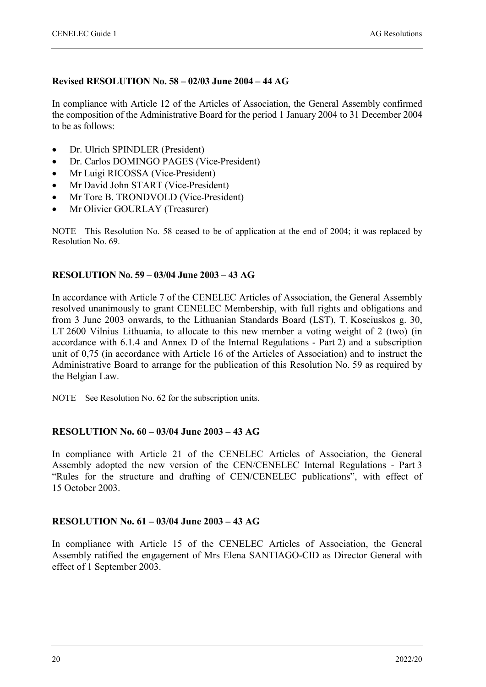#### **Revised RESOLUTION No. 58 – 02/03 June 2004 – 44 AG**

In compliance with Article 12 of the Articles of Association, the General Assembly confirmed the composition of the Administrative Board for the period 1 January 2004 to 31 December 2004 to be as follows:

- Dr. Ulrich SPINDLER (President)
- Dr. Carlos DOMINGO PAGES (Vice-President)
- Mr Luigi RICOSSA (Vice-President)
- Mr David John START (Vice-President)
- Mr Tore B. TRONDVOLD (Vice-President)
- Mr Olivier GOURLAY (Treasurer)

NOTE This Resolution No. 58 ceased to be of application at the end of 2004; it was replaced by Resolution No. 69.

#### **RESOLUTION No. 59 – 03/04 June 2003 – 43 AG**

In accordance with Article 7 of the CENELEC Articles of Association, the General Assembly resolved unanimously to grant CENELEC Membership, with full rights and obligations and from 3 June 2003 onwards, to the Lithuanian Standards Board (LST), T. Kosciuskos g. 30, LT 2600 Vilnius Lithuania, to allocate to this new member a voting weight of 2 (two) (in accordance with 6.1.4 and Annex D of the Internal Regulations - Part 2) and a subscription unit of 0,75 (in accordance with Article 16 of the Articles of Association) and to instruct the Administrative Board to arrange for the publication of this Resolution No. 59 as required by the Belgian Law.

NOTE See Resolution No. 62 for the subscription units.

#### **RESOLUTION No. 60 – 03/04 June 2003 – 43 AG**

In compliance with Article 21 of the CENELEC Articles of Association, the General Assembly adopted the new version of the CEN/CENELEC Internal Regulations - Part 3 "Rules for the structure and drafting of CEN/CENELEC publications", with effect of 15 October 2003.

#### **RESOLUTION No. 61 – 03/04 June 2003 – 43 AG**

In compliance with Article 15 of the CENELEC Articles of Association, the General Assembly ratified the engagement of Mrs Elena SANTIAGO-CID as Director General with effect of 1 September 2003.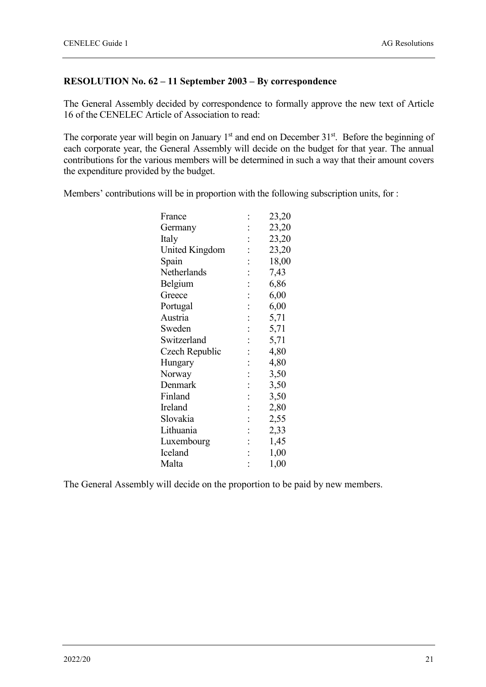#### **RESOLUTION No. 62 – 11 September 2003 – By correspondence**

The General Assembly decided by correspondence to formally approve the new text of Article 16 of the CENELEC Article of Association to read:

The corporate year will begin on January 1<sup>st</sup> and end on December 31<sup>st</sup>. Before the beginning of each corporate year, the General Assembly will decide on the budget for that year. The annual contributions for the various members will be determined in such a way that their amount covers the expenditure provided by the budget.

Members' contributions will be in proportion with the following subscription units, for :

| France         |                | 23,20 |
|----------------|----------------|-------|
| Germany        |                | 23,20 |
| Italy          | $\vdots$       | 23,20 |
| United Kingdom |                | 23,20 |
| Spain          | $\vdots$       | 18,00 |
| Netherlands    | $\ddot{\cdot}$ | 7,43  |
| Belgium        | $\ddot{\cdot}$ | 6,86  |
| Greece         | $\ddot{\cdot}$ | 6,00  |
| Portugal       | $\vdots$       | 6,00  |
| Austria        | $\ddot{\cdot}$ | 5,71  |
| Sweden         | $\vdots$       | 5,71  |
| Switzerland    | $\ddot{\cdot}$ | 5,71  |
| Czech Republic | $\ddot{\cdot}$ | 4,80  |
| Hungary        | $\ddot{\cdot}$ | 4,80  |
| Norway         | $\vdots$       | 3,50  |
| Denmark        | $\vdots$       | 3,50  |
| Finland        | $\vdots$       | 3,50  |
| Ireland        | $\ddot{\cdot}$ | 2,80  |
| Slovakia       | $\vdots$       | 2,55  |
| Lithuania      | $\ddot{\cdot}$ | 2,33  |
| Luxembourg     | $\vdots$       | 1,45  |
| Iceland        | $\ddot{\cdot}$ | 1,00  |
| Malta          | $\vdots$       | 1,00  |
|                |                |       |

The General Assembly will decide on the proportion to be paid by new members.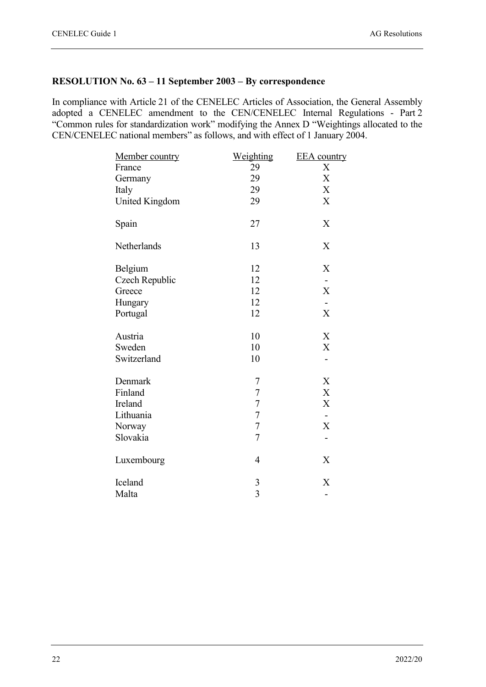#### **RESOLUTION No. 63 – 11 September 2003 – By correspondence**

In compliance with Article 21 of the CENELEC Articles of Association, the General Assembly adopted a CENELEC amendment to the CEN/CENELEC Internal Regulations - Part 2 "Common rules for standardization work" modifying the Annex D "Weightings allocated to the CEN/CENELEC national members" as follows, and with effect of 1 January 2004.

| Member country        | <u>Weighting</u> | <b>EEA</b> country        |
|-----------------------|------------------|---------------------------|
| France                | 29               | X                         |
| Germany               | 29               | X                         |
| Italy                 | 29               | X                         |
| <b>United Kingdom</b> | 29               | X                         |
| Spain                 | 27               | X                         |
| Netherlands           | 13               | X                         |
| Belgium               | 12               | X                         |
| Czech Republic        | 12               |                           |
| Greece                | 12               | $\boldsymbol{\mathrm{X}}$ |
| Hungary               | 12               | $\overline{\phantom{a}}$  |
| Portugal              | 12               | $\boldsymbol{\mathrm{X}}$ |
| Austria               | 10               | X                         |
| Sweden                | 10               | $\boldsymbol{\mathrm{X}}$ |
| Switzerland           | 10               |                           |
| Denmark               | 7                | X                         |
| Finland               | $\sqrt{ }$       | $\boldsymbol{\mathrm{X}}$ |
| Ireland               | $\overline{7}$   | $\boldsymbol{\mathrm{X}}$ |
| Lithuania             | $\overline{7}$   |                           |
| Norway                | $\overline{7}$   | $\boldsymbol{\mathrm{X}}$ |
| Slovakia              | $\overline{7}$   | $\overline{\phantom{0}}$  |
| Luxembourg            | $\overline{4}$   | X                         |
| Iceland               | $\mathfrak{Z}$   | X                         |
| Malta                 | $\overline{3}$   | -                         |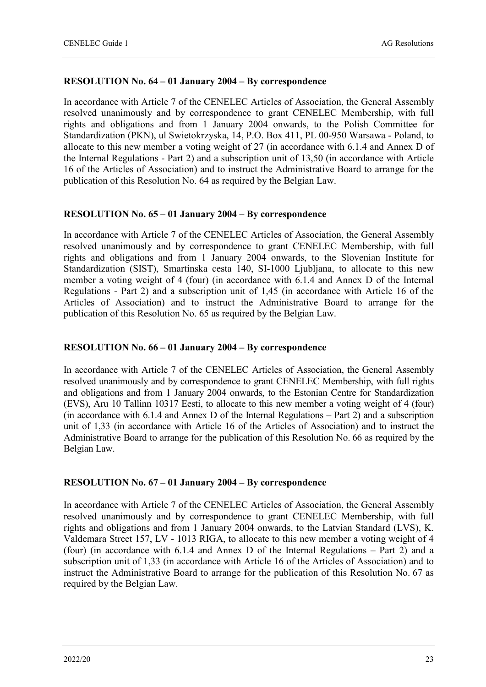#### **RESOLUTION No. 64 – 01 January 2004 – By correspondence**

In accordance with Article 7 of the CENELEC Articles of Association, the General Assembly resolved unanimously and by correspondence to grant CENELEC Membership, with full rights and obligations and from 1 January 2004 onwards, to the Polish Committee for Standardization (PKN), ul Swietokrzyska, 14, P.O. Box 411, PL 00-950 Warsawa - Poland, to allocate to this new member a voting weight of 27 (in accordance with 6.1.4 and Annex D of the Internal Regulations - Part 2) and a subscription unit of 13,50 (in accordance with Article 16 of the Articles of Association) and to instruct the Administrative Board to arrange for the publication of this Resolution No. 64 as required by the Belgian Law.

#### **RESOLUTION No. 65 – 01 January 2004 – By correspondence**

In accordance with Article 7 of the CENELEC Articles of Association, the General Assembly resolved unanimously and by correspondence to grant CENELEC Membership, with full rights and obligations and from 1 January 2004 onwards, to the Slovenian Institute for Standardization (SIST), Smartinska cesta 140, SI-1000 Ljubljana, to allocate to this new member a voting weight of 4 (four) (in accordance with 6.1.4 and Annex D of the Internal Regulations - Part 2) and a subscription unit of 1,45 (in accordance with Article 16 of the Articles of Association) and to instruct the Administrative Board to arrange for the publication of this Resolution No. 65 as required by the Belgian Law.

#### **RESOLUTION No. 66 – 01 January 2004 – By correspondence**

In accordance with Article 7 of the CENELEC Articles of Association, the General Assembly resolved unanimously and by correspondence to grant CENELEC Membership, with full rights and obligations and from 1 January 2004 onwards, to the Estonian Centre for Standardization (EVS), Aru 10 Tallinn 10317 Eesti, to allocate to this new member a voting weight of 4 (four) (in accordance with 6.1.4 and Annex D of the Internal Regulations – Part 2) and a subscription unit of 1,33 (in accordance with Article 16 of the Articles of Association) and to instruct the Administrative Board to arrange for the publication of this Resolution No. 66 as required by the Belgian Law.

#### **RESOLUTION No. 67 – 01 January 2004 – By correspondence**

In accordance with Article 7 of the CENELEC Articles of Association, the General Assembly resolved unanimously and by correspondence to grant CENELEC Membership, with full rights and obligations and from 1 January 2004 onwards, to the Latvian Standard (LVS), K. Valdemara Street 157, LV - 1013 RIGA, to allocate to this new member a voting weight of 4 (four) (in accordance with 6.1.4 and Annex D of the Internal Regulations – Part 2) and a subscription unit of 1,33 (in accordance with Article 16 of the Articles of Association) and to instruct the Administrative Board to arrange for the publication of this Resolution No. 67 as required by the Belgian Law.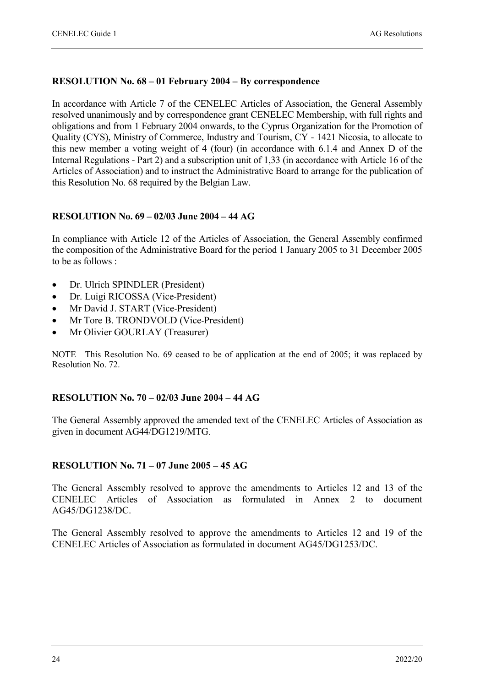#### **RESOLUTION No. 68 – 01 February 2004 – By correspondence**

In accordance with Article 7 of the CENELEC Articles of Association, the General Assembly resolved unanimously and by correspondence grant CENELEC Membership, with full rights and obligations and from 1 February 2004 onwards, to the Cyprus Organization for the Promotion of Quality (CYS), Ministry of Commerce, Industry and Tourism, CY - 1421 Nicosia, to allocate to this new member a voting weight of 4 (four) (in accordance with 6.1.4 and Annex D of the Internal Regulations - Part 2) and a subscription unit of 1,33 (in accordance with Article 16 of the Articles of Association) and to instruct the Administrative Board to arrange for the publication of this Resolution No. 68 required by the Belgian Law.

#### **RESOLUTION No. 69 – 02/03 June 2004 – 44 AG**

In compliance with Article 12 of the Articles of Association, the General Assembly confirmed the composition of the Administrative Board for the period 1 January 2005 to 31 December 2005 to be as follows :

- Dr. Ulrich SPINDLER (President)
- Dr. Luigi RICOSSA (Vice-President)
- Mr David J. START (Vice-President)
- Mr Tore B. TRONDVOLD (Vice-President)
- Mr Olivier GOURLAY (Treasurer)

NOTE This Resolution No. 69 ceased to be of application at the end of 2005; it was replaced by Resolution No. 72.

#### **RESOLUTION No. 70 – 02/03 June 2004 – 44 AG**

The General Assembly approved the amended text of the CENELEC Articles of Association as given in document AG44/DG1219/MTG.

#### **RESOLUTION No. 71 – 07 June 2005 – 45 AG**

The General Assembly resolved to approve the amendments to Articles 12 and 13 of the CENELEC Articles of Association as formulated in Annex 2 to document AG45/DG1238/DC.

The General Assembly resolved to approve the amendments to Articles 12 and 19 of the CENELEC Articles of Association as formulated in document AG45/DG1253/DC.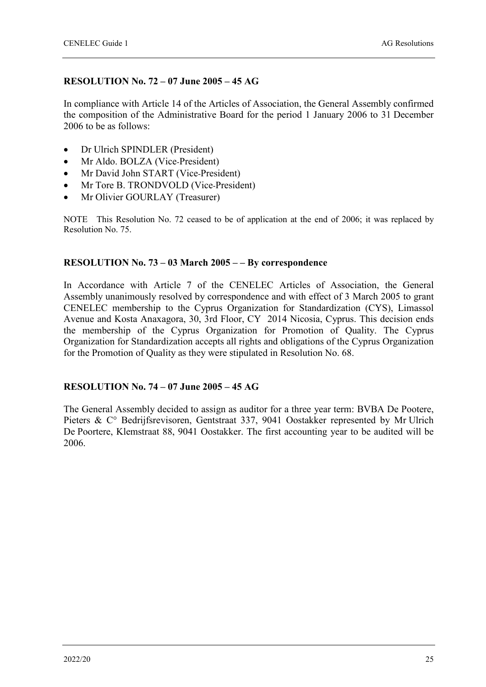#### **RESOLUTION No. 72 – 07 June 2005 – 45 AG**

In compliance with Article 14 of the Articles of Association, the General Assembly confirmed the composition of the Administrative Board for the period 1 January 2006 to 31 December 2006 to be as follows:

- Dr Ulrich SPINDLER (President)
- Mr Aldo. BOLZA (Vice-President)
- Mr David John START (Vice-President)
- Mr Tore B. TRONDVOLD (Vice-President)
- Mr Olivier GOURLAY (Treasurer)

NOTE This Resolution No. 72 ceased to be of application at the end of 2006; it was replaced by Resolution No. 75.

#### **RESOLUTION No. 73 – 03 March 2005 – – By correspondence**

In Accordance with Article 7 of the CENELEC Articles of Association, the General Assembly unanimously resolved by correspondence and with effect of 3 March 2005 to grant CENELEC membership to the Cyprus Organization for Standardization (CYS), Limassol Avenue and Kosta Anaxagora, 30, 3rd Floor, CY 2014 Nicosia, Cyprus. This decision ends the membership of the Cyprus Organization for Promotion of Quality. The Cyprus Organization for Standardization accepts all rights and obligations of the Cyprus Organization for the Promotion of Quality as they were stipulated in Resolution No. 68.

#### **RESOLUTION No. 74 – 07 June 2005 – 45 AG**

The General Assembly decided to assign as auditor for a three year term: BVBA De Pootere, Pieters & C° Bedrijfsrevisoren, Gentstraat 337, 9041 Oostakker represented by Mr Ulrich De Poortere, Klemstraat 88, 9041 Oostakker. The first accounting year to be audited will be 2006.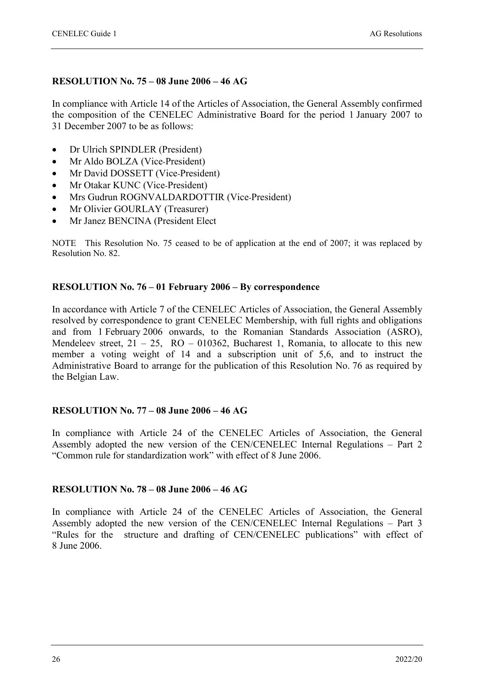#### **RESOLUTION No. 75 – 08 June 2006 – 46 AG**

In compliance with Article 14 of the Articles of Association, the General Assembly confirmed the composition of the CENELEC Administrative Board for the period 1 January 2007 to 31 December 2007 to be as follows:

- Dr Ulrich SPINDLER (President)
- Mr Aldo BOLZA (Vice-President)
- Mr David DOSSETT (Vice-President)
- Mr Otakar KUNC (Vice-President)
- Mrs Gudrun ROGNVALDARDOTTIR (Vice-President)
- Mr Olivier GOURLAY (Treasurer)
- Mr Janez BENCINA (President Elect

NOTE This Resolution No. 75 ceased to be of application at the end of 2007; it was replaced by Resolution No. 82.

#### **RESOLUTION No. 76 – 01 February 2006 – By correspondence**

In accordance with Article 7 of the CENELEC Articles of Association, the General Assembly resolved by correspondence to grant CENELEC Membership, with full rights and obligations and from 1 February 2006 onwards, to the Romanian Standards Association (ASRO), Mendeleev street,  $21 - 25$ ,  $RO - 010362$ , Bucharest 1, Romania, to allocate to this new member a voting weight of 14 and a subscription unit of 5,6, and to instruct the Administrative Board to arrange for the publication of this Resolution No. 76 as required by the Belgian Law.

#### **RESOLUTION No. 77 – 08 June 2006 – 46 AG**

In compliance with Article 24 of the CENELEC Articles of Association, the General Assembly adopted the new version of the CEN/CENELEC Internal Regulations – Part 2 "Common rule for standardization work" with effect of 8 June 2006.

#### **RESOLUTION No. 78 – 08 June 2006 – 46 AG**

In compliance with Article 24 of the CENELEC Articles of Association, the General Assembly adopted the new version of the CEN/CENELEC Internal Regulations – Part 3 "Rules for the structure and drafting of CEN/CENELEC publications" with effect of 8 June 2006.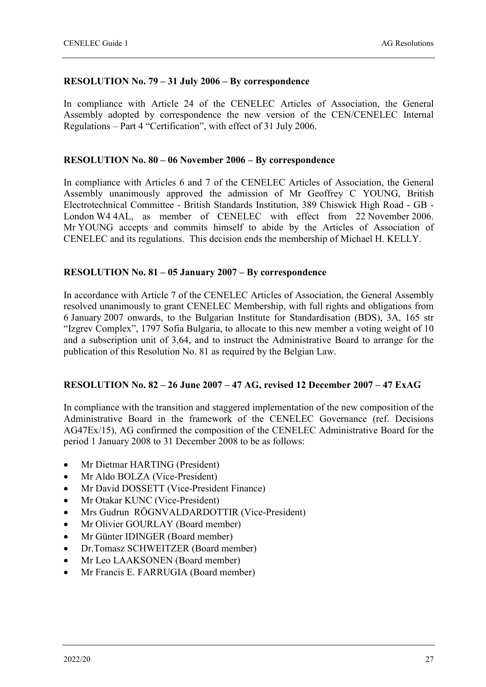#### **RESOLUTION No. 79 – 31 July 2006 – By correspondence**

In compliance with Article 24 of the CENELEC Articles of Association, the General Assembly adopted by correspondence the new version of the CEN/CENELEC Internal Regulations – Part 4 "Certification", with effect of 31 July 2006.

#### **RESOLUTION No. 80 – 06 November 2006 – By correspondence**

In compliance with Articles 6 and 7 of the CENELEC Articles of Association, the General Assembly unanimously approved the admission of Mr Geoffrey C YOUNG, British Electrotechnical Committee - British Standards Institution, 389 Chiswick High Road - GB - London W4 4AL, as member of CENELEC with effect from 22 November 2006. Mr YOUNG accepts and commits himself to abide by the Articles of Association of CENELEC and its regulations. This decision ends the membership of Michael H. KELLY.

#### **RESOLUTION No. 81 – 05 January 2007 – By correspondence**

In accordance with Article 7 of the CENELEC Articles of Association, the General Assembly resolved unanimously to grant CENELEC Membership, with full rights and obligations from 6 January 2007 onwards, to the Bulgarian Institute for Standardisation (BDS), 3A, 165 str "Izgrev Complex", 1797 Sofia Bulgaria, to allocate to this new member a voting weight of 10 and a subscription unit of 3,64, and to instruct the Administrative Board to arrange for the publication of this Resolution No. 81 as required by the Belgian Law.

#### **RESOLUTION No. 82 – 26 June 2007 – 47 AG, revised 12 December 2007 – 47 ExAG**

In compliance with the transition and staggered implementation of the new composition of the Administrative Board in the framework of the CENELEC Governance (ref. Decisions AG47Ex/15), AG confirmed the composition of the CENELEC Administrative Board for the period 1 January 2008 to 31 December 2008 to be as follows:

- Mr Dietmar HARTING (President)
- Mr Aldo BOLZA (Vice-President)
- Mr David DOSSETT (Vice-President Finance)
- Mr Otakar KUNC (Vice-President)
- Mrs Gudrun RÖGNVALDARDOTTIR (Vice-President)
- Mr Olivier GOURLAY (Board member)
- Mr Günter IDINGER (Board member)
- Dr.Tomasz SCHWEITZER (Board member)
- Mr Leo LAAKSONEN (Board member)
- Mr Francis E. FARRUGIA (Board member)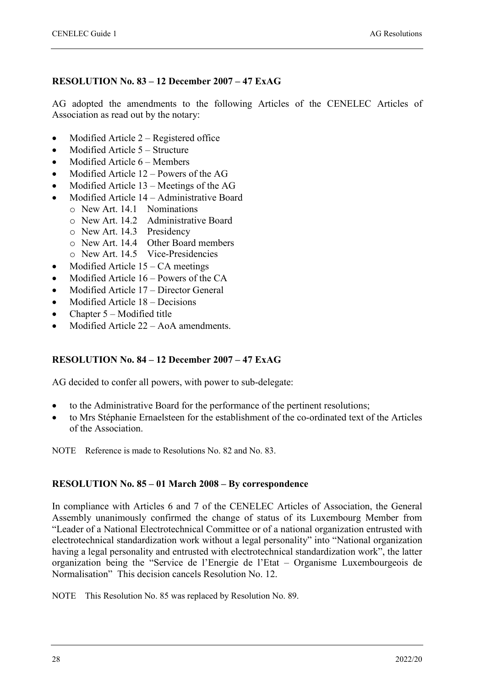#### **RESOLUTION No. 83 – 12 December 2007 – 47 ExAG**

AG adopted the amendments to the following Articles of the CENELEC Articles of Association as read out by the notary:

- Modified Article 2 Registered office
- Modified Article 5 Structure
- Modified Article 6 Members
- Modified Article 12 Powers of the AG
- Modified Article 13 Meetings of the AG
- Modified Article 14 Administrative Board
	- o New Art. 14.1 Nominations
		- o New Art. 14.2 Administrative Board
		- o New Art. 14.3 Presidency
		- o New Art. 14.4 Other Board members
	- o New Art. 14.5 Vice-Presidencies
- Modified Article  $15 CA$  meetings
- Modified Article  $16$  Powers of the CA
- Modified Article 17 Director General
- Modified Article 18 Decisions
- Chapter 5 Modified title
- Modified Article 22 AoA amendments.

#### **RESOLUTION No. 84 – 12 December 2007 – 47 ExAG**

AG decided to confer all powers, with power to sub-delegate:

- to the Administrative Board for the performance of the pertinent resolutions;
- to Mrs Stéphanie Ernaelsteen for the establishment of the co-ordinated text of the Articles of the Association.

NOTE Reference is made to Resolutions No. 82 and No. 83.

#### **RESOLUTION No. 85 – 01 March 2008 – By correspondence**

In compliance with Articles 6 and 7 of the CENELEC Articles of Association, the General Assembly unanimously confirmed the change of status of its Luxembourg Member from "Leader of a National Electrotechnical Committee or of a national organization entrusted with electrotechnical standardization work without a legal personality" into "National organization having a legal personality and entrusted with electrotechnical standardization work", the latter organization being the "Service de l'Energie de l'Etat – Organisme Luxembourgeois de Normalisation" This decision cancels Resolution No. 12.

NOTE This Resolution No. 85 was replaced by Resolution No. 89.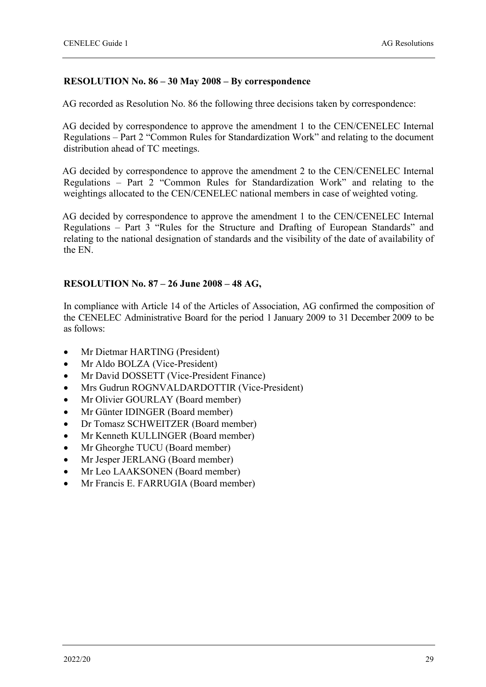#### **RESOLUTION No. 86 – 30 May 2008 – By correspondence**

AG recorded as Resolution No. 86 the following three decisions taken by correspondence:

AG decided by correspondence to approve the amendment 1 to the CEN/CENELEC Internal Regulations – Part 2 "Common Rules for Standardization Work" and relating to the document distribution ahead of TC meetings.

AG decided by correspondence to approve the amendment 2 to the CEN/CENELEC Internal Regulations – Part 2 "Common Rules for Standardization Work" and relating to the weightings allocated to the CEN/CENELEC national members in case of weighted voting.

AG decided by correspondence to approve the amendment 1 to the CEN/CENELEC Internal Regulations – Part 3 "Rules for the Structure and Drafting of European Standards" and relating to the national designation of standards and the visibility of the date of availability of the EN.

#### **RESOLUTION No. 87 – 26 June 2008 – 48 AG,**

In compliance with Article 14 of the Articles of Association, AG confirmed the composition of the CENELEC Administrative Board for the period 1 January 2009 to 31 December 2009 to be as follows:

- Mr Dietmar HARTING (President)
- Mr Aldo BOLZA (Vice-President)
- Mr David DOSSETT (Vice-President Finance)
- Mrs Gudrun ROGNVALDARDOTTIR (Vice-President)
- Mr Olivier GOURLAY (Board member)
- Mr Günter IDINGER (Board member)
- Dr Tomasz SCHWEITZER (Board member)
- Mr Kenneth KULLINGER (Board member)
- Mr Gheorghe TUCU (Board member)
- Mr Jesper JERLANG (Board member)
- Mr Leo LAAKSONEN (Board member)
- Mr Francis E. FARRUGIA (Board member)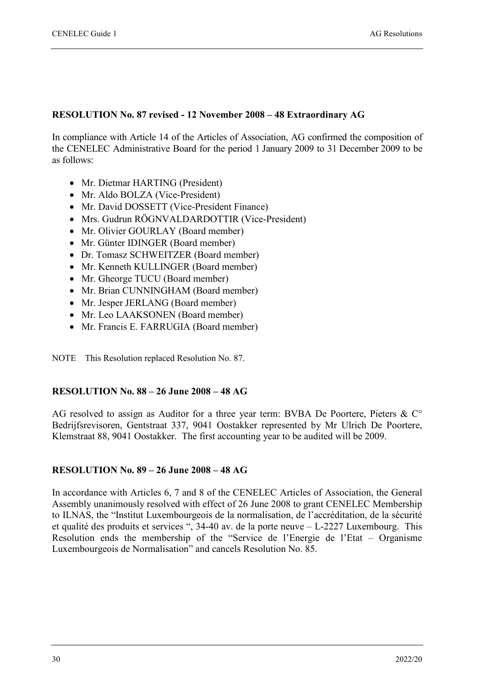#### **RESOLUTION No. 87 revised - 12 November 2008 – 48 Extraordinary AG**

In compliance with Article 14 of the Articles of Association, AG confirmed the composition of the CENELEC Administrative Board for the period 1 January 2009 to 31 December 2009 to be as follows:

- Mr. Dietmar HARTING (President)
- Mr. Aldo BOLZA (Vice-President)
- Mr. David DOSSETT (Vice-President Finance)
- Mrs. Gudrun RÖGNVALDARDOTTIR (Vice-President)
- Mr. Olivier GOURLAY (Board member)
- Mr. Günter IDINGER (Board member)
- Dr. Tomasz SCHWEITZER (Board member)
- Mr. Kenneth KULLINGER (Board member)
- Mr. Gheorge TUCU (Board member)
- Mr. Brian CUNNINGHAM (Board member)
- Mr. Jesper JERLANG (Board member)
- Mr. Leo LAAKSONEN (Board member)
- Mr. Francis E. FARRUGIA (Board member)

NOTE This Resolution replaced Resolution No. 87.

#### **RESOLUTION No. 88 – 26 June 2008 – 48 AG**

AG resolved to assign as Auditor for a three year term: BVBA De Poortere, Pieters & C° Bedrijfsrevisoren, Gentstraat 337, 9041 Oostakker represented by Mr Ulrich De Poortere, Klemstraat 88, 9041 Oostakker. The first accounting year to be audited will be 2009.

#### **RESOLUTION No. 89 – 26 June 2008 – 48 AG**

In accordance with Articles 6, 7 and 8 of the CENELEC Articles of Association, the General Assembly unanimously resolved with effect of 26 June 2008 to grant CENELEC Membership to ILNAS, the "Institut Luxembourgeois de la normalisation, de l'accréditation, de la sécurité et qualité des produits et services ", 34-40 av. de la porte neuve – L-2227 Luxembourg. This Resolution ends the membership of the "Service de l'Energie de l'Etat – Organisme Luxembourgeois de Normalisation" and cancels Resolution No. 85.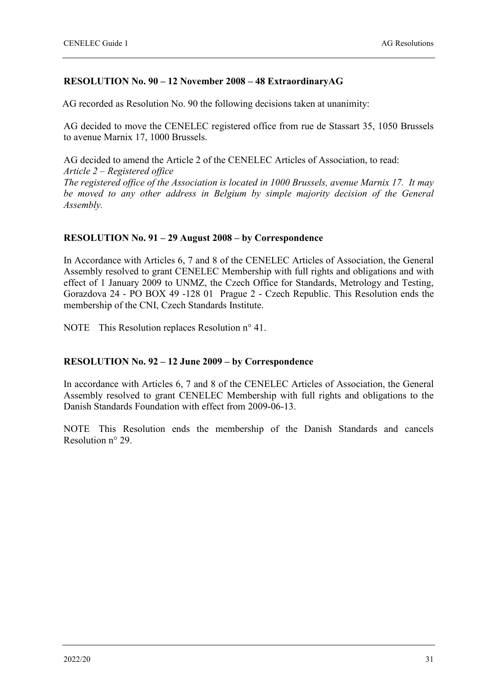#### **RESOLUTION No. 90 – 12 November 2008 – 48 ExtraordinaryAG**

AG recorded as Resolution No. 90 the following decisions taken at unanimity:

AG decided to move the CENELEC registered office from rue de Stassart 35, 1050 Brussels to avenue Marnix 17, 1000 Brussels.

AG decided to amend the Article 2 of the CENELEC Articles of Association, to read: *Article 2 – Registered office The registered office of the Association is located in 1000 Brussels, avenue Marnix 17. It may be moved to any other address in Belgium by simple majority decision of the General Assembly.*

#### **RESOLUTION No. 91 – 29 August 2008 – by Correspondence**

In Accordance with Articles 6, 7 and 8 of the CENELEC Articles of Association, the General Assembly resolved to grant CENELEC Membership with full rights and obligations and with effect of 1 January 2009 to UNMZ, the Czech Office for Standards, Metrology and Testing, Gorazdova 24 - PO BOX 49 -128 01 Prague 2 - Czech Republic. This Resolution ends the membership of the CNI, Czech Standards Institute.

NOTE This Resolution replaces Resolution n° 41.

#### **RESOLUTION No. 92 – 12 June 2009 – by Correspondence**

In accordance with Articles 6, 7 and 8 of the CENELEC Articles of Association, the General Assembly resolved to grant CENELEC Membership with full rights and obligations to the Danish Standards Foundation with effect from 2009-06-13.

NOTE This Resolution ends the membership of the Danish Standards and cancels Resolution n° 29.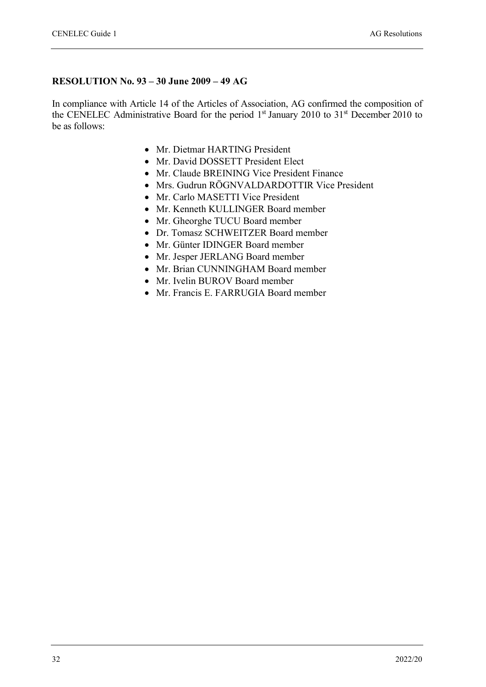#### **RESOLUTION No. 93 – 30 June 2009 – 49 AG**

In compliance with Article 14 of the Articles of Association, AG confirmed the composition of the CENELEC Administrative Board for the period 1<sup>st</sup> January 2010 to 31<sup>st</sup> December 2010 to be as follows:

- Mr. Dietmar HARTING President
- Mr. David DOSSETT President Elect
- Mr. Claude BREINING Vice President Finance
- Mrs. Gudrun RÖGNVALDARDOTTIR Vice President
- Mr. Carlo MASETTI Vice President
- Mr. Kenneth KULLINGER Board member
- Mr. Gheorghe TUCU Board member
- Dr. Tomasz SCHWEITZER Board member
- Mr. Günter IDINGER Board member
- Mr. Jesper JERLANG Board member
- Mr. Brian CUNNINGHAM Board member
- Mr. Ivelin BUROV Board member
- Mr. Francis E. FARRUGIA Board member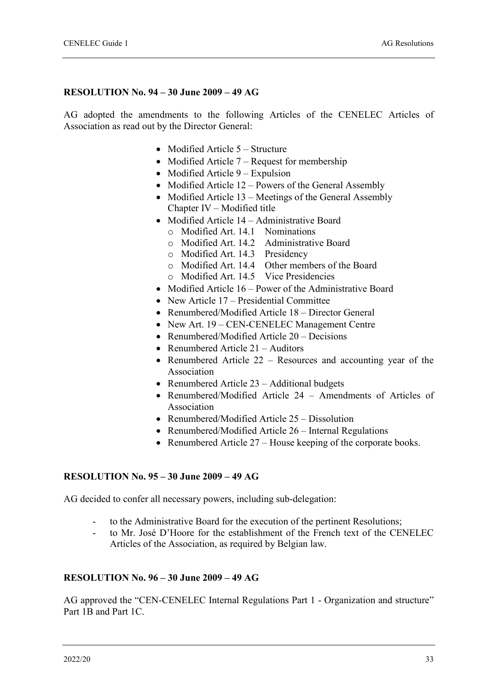#### **RESOLUTION No. 94 – 30 June 2009 – 49 AG**

AG adopted the amendments to the following Articles of the CENELEC Articles of Association as read out by the Director General:

- Modified Article 5 Structure
- Modified Article  $7 -$ Request for membership
- Modified Article 9 Expulsion
- Modified Article 12 Powers of the General Assembly
- Modified Article 13 Meetings of the General Assembly Chapter IV – Modified title
- Modified Article 14 Administrative Board
	- o Modified Art. 14.1 Nominations
	- o Modified Art. 14.2 Administrative Board
	- o Modified Art. 14.3 Presidency
	- o Modified Art. 14.4 Other members of the Board
	- o Modified Art. 14.5 Vice Presidencies
- Modified Article 16 Power of the Administrative Board
- New Article 17 Presidential Committee
- Renumbered/Modified Article 18 Director General
- New Art. 19 CEN-CENELEC Management Centre
- Renumbered/Modified Article 20 Decisions
- Renumbered Article 21 Auditors
- Renumbered Article 22 Resources and accounting year of the Association
- Renumbered Article 23 Additional budgets
- Renumbered/Modified Article 24 Amendments of Articles of Association
- Renumbered/Modified Article 25 Dissolution
- Renumbered/Modified Article 26 Internal Regulations
- Renumbered Article 27 House keeping of the corporate books.

#### **RESOLUTION No. 95 – 30 June 2009 – 49 AG**

AG decided to confer all necessary powers, including sub-delegation:

- to the Administrative Board for the execution of the pertinent Resolutions;
- to Mr. José D'Hoore for the establishment of the French text of the CENELEC Articles of the Association, as required by Belgian law.

#### **RESOLUTION No. 96 – 30 June 2009 – 49 AG**

AG approved the "CEN-CENELEC Internal Regulations Part 1 - Organization and structure" Part 1B and Part 1C.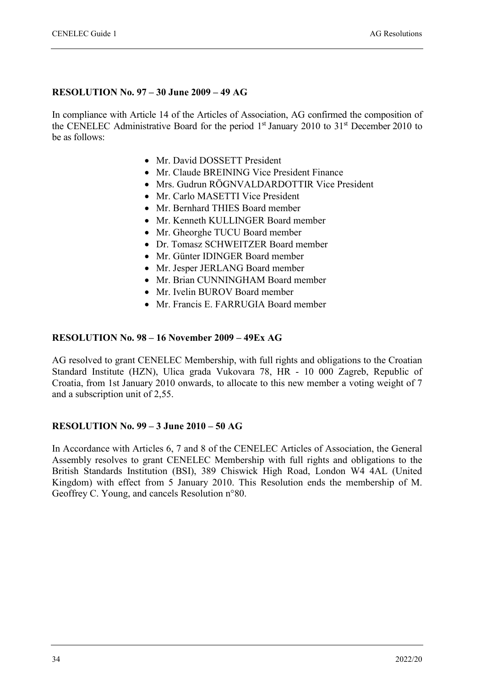#### **RESOLUTION No. 97 – 30 June 2009 – 49 AG**

In compliance with Article 14 of the Articles of Association, AG confirmed the composition of the CENELEC Administrative Board for the period 1<sup>st</sup> January 2010 to 31<sup>st</sup> December 2010 to be as follows:

- Mr. David DOSSETT President
- Mr. Claude BREINING Vice President Finance
- Mrs. Gudrun RÖGNVALDARDOTTIR Vice President
- Mr. Carlo MASETTI Vice President
- Mr. Bernhard THIES Board member
- Mr. Kenneth KULLINGER Board member
- Mr. Gheorghe TUCU Board member
- Dr. Tomasz SCHWEITZER Board member
- Mr. Günter IDINGER Board member
- Mr. Jesper JERLANG Board member
- Mr. Brian CUNNINGHAM Board member
- Mr. Ivelin BUROV Board member
- Mr. Francis E. FARRUGIA Board member

#### **RESOLUTION No. 98 – 16 November 2009 – 49Ex AG**

AG resolved to grant CENELEC Membership, with full rights and obligations to the Croatian Standard Institute (HZN), Ulica grada Vukovara 78, HR - 10 000 Zagreb, Republic of Croatia, from 1st January 2010 onwards, to allocate to this new member a voting weight of 7 and a subscription unit of 2,55.

#### **RESOLUTION No. 99 – 3 June 2010 – 50 AG**

In Accordance with Articles 6, 7 and 8 of the CENELEC Articles of Association, the General Assembly resolves to grant CENELEC Membership with full rights and obligations to the British Standards Institution (BSI), 389 Chiswick High Road, London W4 4AL (United Kingdom) with effect from 5 January 2010. This Resolution ends the membership of M. Geoffrey C. Young, and cancels Resolution n°80.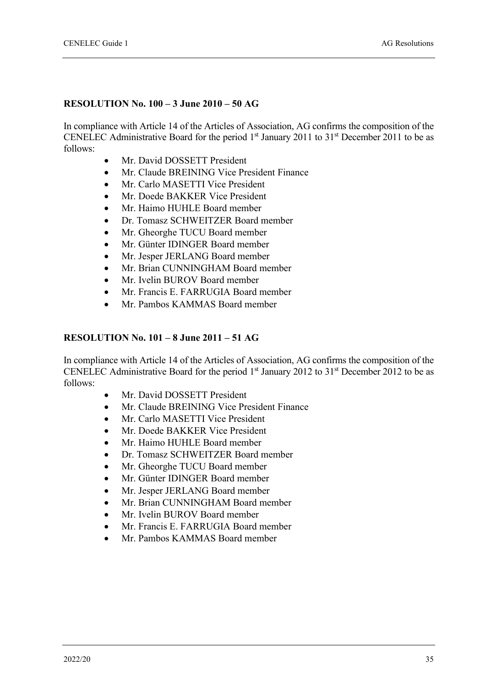#### **RESOLUTION No. 100 – 3 June 2010 – 50 AG**

In compliance with Article 14 of the Articles of Association, AG confirms the composition of the CENELEC Administrative Board for the period  $1<sup>st</sup>$  January 2011 to 31<sup>st</sup> December 2011 to be as follows:

- Mr. David DOSSETT President
- Mr. Claude BREINING Vice President Finance
- Mr. Carlo MASETTI Vice President
- Mr. Doede BAKKER Vice President
- Mr. Haimo HUHLE Board member
- Dr. Tomasz SCHWEITZER Board member
- Mr. Gheorghe TUCU Board member
- Mr. Günter IDINGER Board member
- Mr. Jesper JERLANG Board member
- Mr. Brian CUNNINGHAM Board member
- Mr. Ivelin BUROV Board member
- Mr. Francis E. FARRUGIA Board member
- Mr. Pambos KAMMAS Board member

#### **RESOLUTION No. 101 – 8 June 2011 – 51 AG**

In compliance with Article 14 of the Articles of Association, AG confirms the composition of the CENELEC Administrative Board for the period  $1<sup>st</sup>$  January 2012 to 31<sup>st</sup> December 2012 to be as follows:

- Mr. David DOSSETT President
- Mr. Claude BREINING Vice President Finance
- Mr. Carlo MASETTI Vice President
- Mr. Doede BAKKER Vice President
- Mr. Haimo HUHLE Board member
- Dr. Tomasz SCHWEITZER Board member
- Mr. Gheorghe TUCU Board member
- Mr. Günter IDINGER Board member
- Mr. Jesper JERLANG Board member
- Mr. Brian CUNNINGHAM Board member
- Mr. Ivelin BUROV Board member
- Mr. Francis E. FARRUGIA Board member
- Mr. Pambos KAMMAS Board member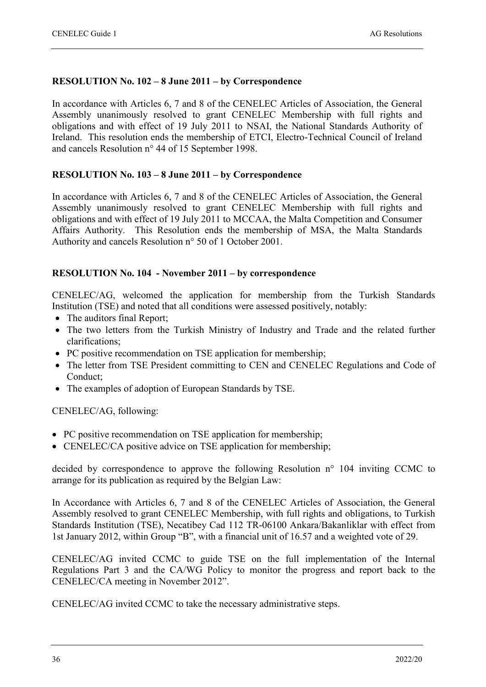#### **RESOLUTION No. 102 – 8 June 2011 – by Correspondence**

In accordance with Articles 6, 7 and 8 of the CENELEC Articles of Association, the General Assembly unanimously resolved to grant CENELEC Membership with full rights and obligations and with effect of 19 July 2011 to NSAI, the National Standards Authority of Ireland. This resolution ends the membership of ETCI, Electro-Technical Council of Ireland and cancels Resolution n° 44 of 15 September 1998.

#### **RESOLUTION No. 103 – 8 June 2011 – by Correspondence**

In accordance with Articles 6, 7 and 8 of the CENELEC Articles of Association, the General Assembly unanimously resolved to grant CENELEC Membership with full rights and obligations and with effect of 19 July 2011 to MCCAA, the Malta Competition and Consumer Affairs Authority. This Resolution ends the membership of MSA, the Malta Standards Authority and cancels Resolution n° 50 of 1 October 2001.

#### **RESOLUTION No. 104 - November 2011 – by correspondence**

CENELEC/AG, welcomed the application for membership from the Turkish Standards Institution (TSE) and noted that all conditions were assessed positively, notably:

- The auditors final Report;
- The two letters from the Turkish Ministry of Industry and Trade and the related further clarifications;
- PC positive recommendation on TSE application for membership;
- The letter from TSE President committing to CEN and CENELEC Regulations and Code of Conduct;
- The examples of adoption of European Standards by TSE.

CENELEC/AG, following:

- PC positive recommendation on TSE application for membership;
- CENELEC/CA positive advice on TSE application for membership;

decided by correspondence to approve the following Resolution n° 104 inviting CCMC to arrange for its publication as required by the Belgian Law:

In Accordance with Articles 6, 7 and 8 of the CENELEC Articles of Association, the General Assembly resolved to grant CENELEC Membership, with full rights and obligations, to Turkish Standards Institution (TSE), Necatibey Cad 112 TR-06100 Ankara/Bakanliklar with effect from 1st January 2012, within Group "B", with a financial unit of 16.57 and a weighted vote of 29.

CENELEC/AG invited CCMC to guide TSE on the full implementation of the Internal Regulations Part 3 and the CA/WG Policy to monitor the progress and report back to the CENELEC/CA meeting in November 2012".

CENELEC/AG invited CCMC to take the necessary administrative steps.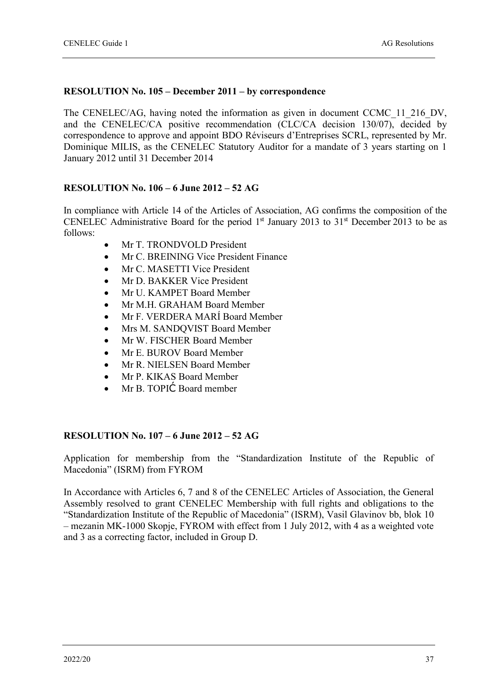#### **RESOLUTION No. 105 – December 2011 – by correspondence**

The CENELEC/AG, having noted the information as given in document CCMC\_11\_216\_DV, and the CENELEC/CA positive recommendation (CLC/CA decision 130/07), decided by correspondence to approve and appoint BDO Réviseurs d'Entreprises SCRL, represented by Mr. Dominique MILIS, as the CENELEC Statutory Auditor for a mandate of 3 years starting on 1 January 2012 until 31 December 2014

#### **RESOLUTION No. 106 – 6 June 2012 – 52 AG**

In compliance with Article 14 of the Articles of Association, AG confirms the composition of the CENELEC Administrative Board for the period  $1<sup>st</sup>$  January 2013 to 31<sup>st</sup> December 2013 to be as follows:

- Mr T. TRONDVOLD President
- Mr C. BREINING Vice President Finance
- Mr C. MASETTI Vice President
- Mr D. BAKKER Vice President
- Mr U. KAMPET Board Member
- Mr M.H. GRAHAM Board Member
- Mr F. VERDERA MARÍ Board Member
- Mrs M. SANDQVIST Board Member
- Mr W. FISCHER Board Member
- Mr E. BUROV Board Member
- Mr R. NIELSEN Board Member
- Mr P. KIKAS Board Member
- Mr B. TOPIĆ Board member

#### **RESOLUTION No. 107 – 6 June 2012 – 52 AG**

Application for membership from the "Standardization Institute of the Republic of Macedonia" (ISRM) from FYROM

In Accordance with Articles 6, 7 and 8 of the CENELEC Articles of Association, the General Assembly resolved to grant CENELEC Membership with full rights and obligations to the "Standardization Institute of the Republic of Macedonia" (ISRM), Vasil Glavinov bb, blok 10 – mezanin MK-1000 Skopje, FYROM with effect from 1 July 2012, with 4 as a weighted vote and 3 as a correcting factor, included in Group D.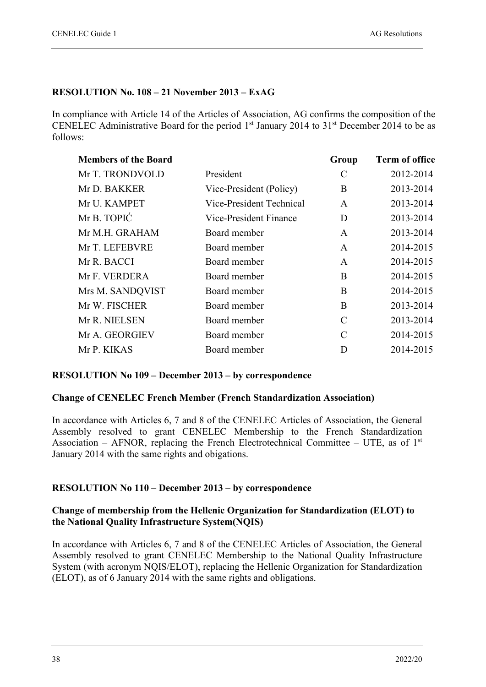#### **RESOLUTION No. 108 – 21 November 2013 – ExAG**

In compliance with Article 14 of the Articles of Association, AG confirms the composition of the CENELEC Administrative Board for the period  $1<sup>st</sup>$  January 2014 to 31<sup>st</sup> December 2014 to be as follows:

| <b>Members of the Board</b> |                          | Group         | <b>Term of office</b> |
|-----------------------------|--------------------------|---------------|-----------------------|
| Mr T. TRONDVOLD             | President                | C             | 2012-2014             |
| Mr D. BAKKER                | Vice-President (Policy)  | B             | 2013-2014             |
| Mr U. KAMPET                | Vice-President Technical | A             | 2013-2014             |
| Mr B. TOPIC                 | Vice-President Finance   | D             | 2013-2014             |
| Mr M.H. GRAHAM              | Board member             | A             | 2013-2014             |
| Mr T. LEFEBVRE              | Board member             | $\mathbf{A}$  | 2014-2015             |
| Mr R. BACCI                 | Board member             | $\mathbf{A}$  | 2014-2015             |
| Mr F. VERDERA               | Board member             | B             | 2014-2015             |
| Mrs M. SANDQVIST            | Board member             | B             | 2014-2015             |
| Mr W. FISCHER               | Board member             | B             | 2013-2014             |
| Mr R. NIELSEN               | Board member             | $\mathcal{C}$ | 2013-2014             |
| Mr A. GEORGIEV              | Board member             | $\mathcal{C}$ | 2014-2015             |
| Mr P. KIKAS                 | Board member             | D             | 2014-2015             |

#### **RESOLUTION No 109 – December 2013 – by correspondence**

#### **Change of CENELEC French Member (French Standardization Association)**

In accordance with Articles 6, 7 and 8 of the CENELEC Articles of Association, the General Assembly resolved to grant CENELEC Membership to the French Standardization Association – AFNOR, replacing the French Electrotechnical Committee – UTE, as of  $1<sup>st</sup>$ January 2014 with the same rights and obigations.

#### **RESOLUTION No 110 – December 2013 – by correspondence**

#### **Change of membership from the Hellenic Organization for Standardization (ELOT) to the National Quality Infrastructure System(NQIS)**

In accordance with Articles 6, 7 and 8 of the CENELEC Articles of Association, the General Assembly resolved to grant CENELEC Membership to the National Quality Infrastructure System (with acronym NQIS/ELOT), replacing the Hellenic Organization for Standardization (ELOT), as of 6 January 2014 with the same rights and obligations.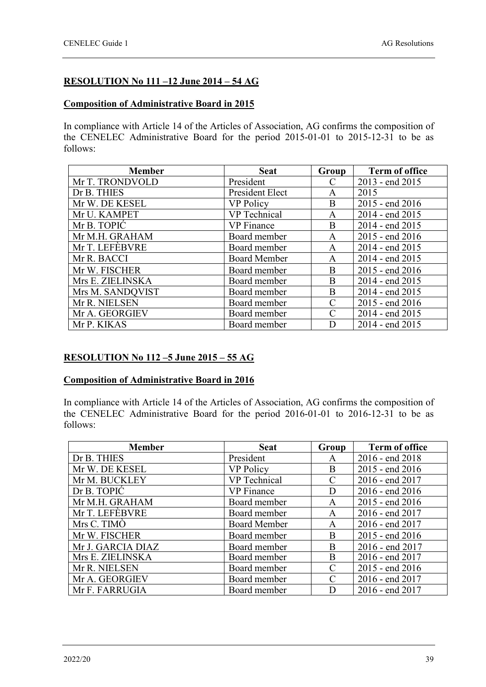#### **RESOLUTION No 111 –12 June 2014 – 54 AG**

#### **Composition of Administrative Board in 2015**

In compliance with Article 14 of the Articles of Association, AG confirms the composition of the CENELEC Administrative Board for the period 2015-01-01 to 2015-12-31 to be as follows:

| <b>Member</b>    | <b>Seat</b>         | Group         | <b>Term of office</b> |
|------------------|---------------------|---------------|-----------------------|
| Mr T. TRONDVOLD  | President           | C             | 2013 - end 2015       |
| Dr B. THIES      | President Elect     | A             | 2015                  |
| Mr W. DE KESEL   | <b>VP Policy</b>    | B             | 2015 - end 2016       |
| Mr U. KAMPET     | <b>VP</b> Technical | A             | 2014 - end 2015       |
| Mr B. TOPIC      | <b>VP</b> Finance   | B             | 2014 - end 2015       |
| Mr M.H. GRAHAM   | Board member        | A             | 2015 - end 2016       |
| Mr T. LEFEBVRE   | Board member        | A             | 2014 - end 2015       |
| Mr R. BACCI      | <b>Board Member</b> | A             | 2014 - end 2015       |
| Mr W. FISCHER    | Board member        | B             | 2015 - end 2016       |
| Mrs E. ZIELINSKA | Board member        | B             | 2014 - end 2015       |
| Mrs M. SANDQVIST | Board member        | B             | 2014 - end 2015       |
| Mr R. NIELSEN    | Board member        | $\mathcal{C}$ | 2015 - end 2016       |
| Mr A. GEORGIEV   | Board member        | $\mathcal{C}$ | 2014 - end 2015       |
| Mr P. KIKAS      | Board member        | D             | 2014 - end 2015       |

#### **RESOLUTION No 112 –5 June 2015 – 55 AG**

#### **Composition of Administrative Board in 2016**

In compliance with Article 14 of the Articles of Association, AG confirms the composition of the CENELEC Administrative Board for the period 2016-01-01 to 2016-12-31 to be as follows:

| <b>Member</b>     | <b>Seat</b>         | Group | <b>Term of office</b> |
|-------------------|---------------------|-------|-----------------------|
| Dr B. THIES       | President           | A     | 2016 - end 2018       |
| Mr W. DE KESEL    | <b>VP Policy</b>    | B     | 2015 - end 2016       |
| Mr M. BUCKLEY     | <b>VP</b> Technical | C     | 2016 - end 2017       |
| Dr B. TOPIC       | <b>VP</b> Finance   | D     | $2016$ - end $2016$   |
| Mr M.H. GRAHAM    | Board member        | A     | 2015 - end 2016       |
| Mr T. LEFÈBVRE    | Board member        | A     | 2016 - end 2017       |
| Mrs C. TIMO       | <b>Board Member</b> | A     | 2016 - end 2017       |
| Mr W. FISCHER     | Board member        | B     | 2015 - end 2016       |
| Mr J. GARCIA DIAZ | Board member        | B     | 2016 - end 2017       |
| Mrs E. ZIELINSKA  | Board member        | B     | 2016 - end 2017       |
| Mr R. NIELSEN     | Board member        | C     | $2015$ - end $2016$   |
| Mr A. GEORGIEV    | Board member        | C     | 2016 - end 2017       |
| Mr F. FARRUGIA    | Board member        | D     | 2016 - end 2017       |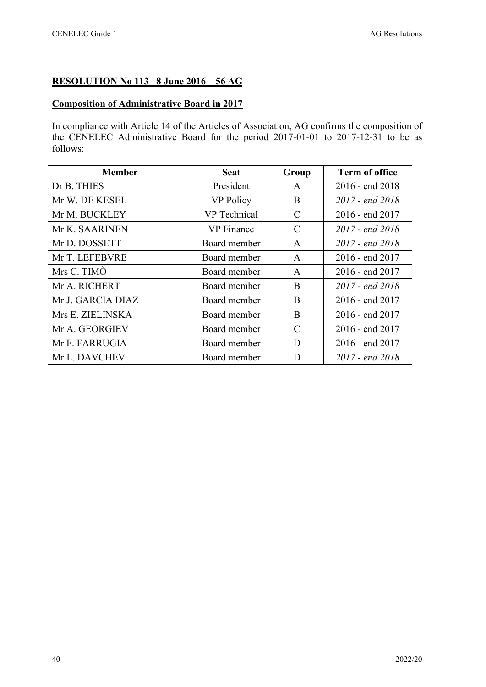#### **RESOLUTION No 113 –8 June 2016 – 56 AG**

#### **Composition of Administrative Board in 2017**

In compliance with Article 14 of the Articles of Association, AG confirms the composition of the CENELEC Administrative Board for the period 2017-01-01 to 2017-12-31 to be as follows:

| <b>Member</b>     | <b>Seat</b>         | Group         | <b>Term of office</b> |
|-------------------|---------------------|---------------|-----------------------|
| Dr B. THIES       | President           | $\mathsf{A}$  | $2016$ - end $2018$   |
| Mr W. DE KESEL    | VP Policy           | B             | $2017$ - end $2018$   |
| Mr M. BUCKLEY     | <b>VP</b> Technical | C             | 2016 - end 2017       |
| Mr K. SAARINEN    | <b>VP</b> Finance   | $\mathcal{C}$ | $2017$ - end $2018$   |
| Mr D. DOSSETT     | Board member        | $\mathsf{A}$  | $2017$ - end $2018$   |
| Mr T. LEFEBVRE    | Board member        | $\mathsf{A}$  | 2016 - end 2017       |
| Mrs C. TIMO       | Board member        | $\mathsf{A}$  | 2016 - end 2017       |
| Mr A. RICHERT     | Board member        | B             | 2017 - end 2018       |
| Mr J. GARCIA DIAZ | Board member        | B             | $2016$ - end $2017$   |
| Mrs E. ZIELINSKA  | Board member        | B             | $2016$ - end $2017$   |
| Mr A. GEORGIEV    | Board member        | C             | 2016 - end 2017       |
| Mr F. FARRUGIA    | Board member        | D             | $2016$ - end $2017$   |
| Mr L. DAVCHEV     | Board member        | D             | 2017 - end 2018       |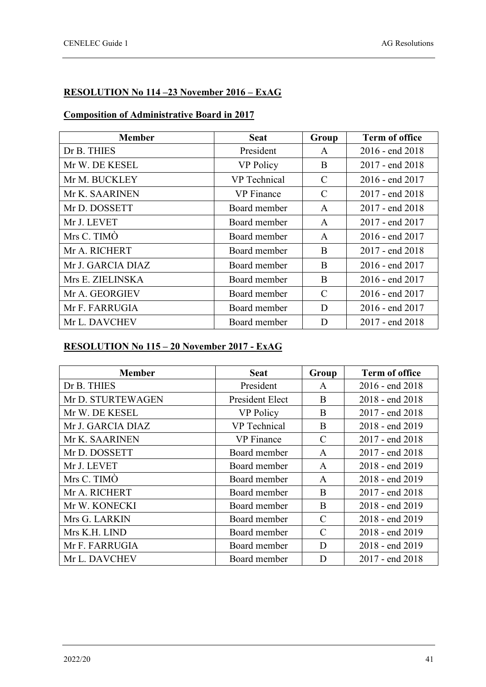#### **RESOLUTION No 114 –23 November 2016 – ExAG**

#### **Composition of Administrative Board in 2017**

| <b>Member</b>     | <b>Seat</b>      | Group         | <b>Term of office</b> |
|-------------------|------------------|---------------|-----------------------|
| Dr B. THIES       | President        | A             | $2016$ - end $2018$   |
| Mr W. DE KESEL    | <b>VP Policy</b> | B             | $2017$ - end $2018$   |
| Mr M. BUCKLEY     | VP Technical     | C             | 2016 - end 2017       |
| Mr K. SAARINEN    | VP Finance       | $\mathcal{C}$ | $2017$ - end $2018$   |
| Mr D. DOSSETT     | Board member     | A             | 2017 - end 2018       |
| Mr J. LEVET       | Board member     | A             | 2017 - end 2017       |
| Mrs C. TIMO       | Board member     | $\mathsf{A}$  | 2016 - end 2017       |
| Mr A. RICHERT     | Board member     | B             | 2017 - end 2018       |
| Mr J. GARCIA DIAZ | Board member     | B             | 2016 - end 2017       |
| Mrs E. ZIELINSKA  | Board member     | B             | $2016$ - end $2017$   |
| Mr A. GEORGIEV    | Board member     | C             | 2016 - end 2017       |
| Mr F. FARRUGIA    | Board member     | D             | 2016 - end 2017       |
| Mr L. DAVCHEV     | Board member     | D             | $2017$ - end $2018$   |

#### **RESOLUTION No 115 – 20 November 2017 - ExAG**

| <b>Member</b>     | <b>Seat</b>         | Group         | <b>Term of office</b> |
|-------------------|---------------------|---------------|-----------------------|
| Dr B. THIES       | President           | A             | $2016$ - end $2018$   |
| Mr D. STURTEWAGEN | President Elect     | B             | 2018 - end 2018       |
| Mr W. DE KESEL    | <b>VP Policy</b>    | B             | $2017$ - end $2018$   |
| Mr J. GARCIA DIAZ | <b>VP</b> Technical | B             | 2018 - end 2019       |
| Mr K. SAARINEN    | <b>VP</b> Finance   | $\mathcal{C}$ | $2017$ - end $2018$   |
| Mr D. DOSSETT     | Board member        | A             | 2017 - end 2018       |
| Mr J. LEVET       | Board member        | A             | 2018 - end 2019       |
| Mrs C. TIMO       | Board member        | A             | 2018 - end 2019       |
| Mr A. RICHERT     | Board member        | B             | 2017 - end 2018       |
| Mr W. KONECKI     | Board member        | B             | 2018 - end 2019       |
| Mrs G. LARKIN     | Board member        | $\mathcal{C}$ | 2018 - end 2019       |
| Mrs K.H. LIND     | Board member        | $\mathcal{C}$ | 2018 - end 2019       |
| Mr F. FARRUGIA    | Board member        | D             | 2018 - end 2019       |
| Mr L. DAVCHEV     | Board member        | D             | 2017 - end 2018       |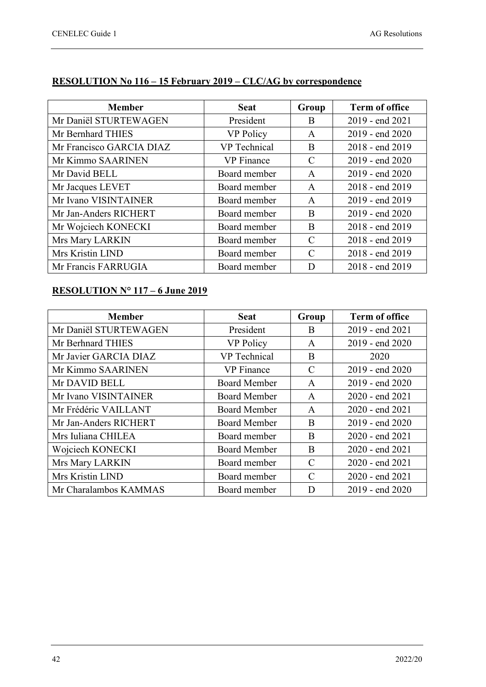| <b>Member</b>            | <b>Seat</b>       | Group         | <b>Term of office</b> |
|--------------------------|-------------------|---------------|-----------------------|
| Mr Daniël STURTEWAGEN    | President         | B             | 2019 - end 2021       |
| Mr Bernhard THIES        | <b>VP Policy</b>  | $\mathsf{A}$  | 2019 - end 2020       |
| Mr Francisco GARCIA DIAZ | VP Technical      | B             | 2018 - end 2019       |
| Mr Kimmo SAARINEN        | <b>VP</b> Finance | $\mathcal{C}$ | 2019 - end 2020       |
| Mr David BELL            | Board member      | $\mathbf{A}$  | 2019 - end 2020       |
| Mr Jacques LEVET         | Board member      | $\mathsf{A}$  | 2018 - end 2019       |
| Mr Ivano VISINTAINER     | Board member      | $\mathsf{A}$  | 2019 - end 2019       |
| Mr Jan-Anders RICHERT    | Board member      | B             | 2019 - end 2020       |
| Mr Wojciech KONECKI      | Board member      | B             | 2018 - end 2019       |
| Mrs Mary LARKIN          | Board member      | $\mathcal{C}$ | 2018 - end 2019       |
| Mrs Kristin LIND         | Board member      | $\mathcal{C}$ | 2018 - end 2019       |
| Mr Francis FARRUGIA      | Board member      | D             | 2018 - end 2019       |

#### **RESOLUTION No 116 – 15 February 2019 – CLC/AG by correspondence**

#### **RESOLUTION N° 117 – 6 June 2019**

| <b>Member</b>         | <b>Seat</b>         | Group         | <b>Term of office</b> |
|-----------------------|---------------------|---------------|-----------------------|
| Mr Daniël STURTEWAGEN | President           | B             | 2019 - end 2021       |
| Mr Berhnard THIES     | VP Policy           | A             | $2019$ - end $2020$   |
| Mr Javier GARCIA DIAZ | VP Technical        | B             | 2020                  |
| Mr Kimmo SAARINEN     | <b>VP</b> Finance   | C             | 2019 - end 2020       |
| Mr DAVID BELL         | Board Member        | $\mathsf{A}$  | $2019$ - end $2020$   |
| Mr Ivano VISINTAINER  | <b>Board Member</b> | $\mathsf{A}$  | 2020 - end 2021       |
| Mr Frédéric VAILLANT  | <b>Board Member</b> | A             | 2020 - end 2021       |
| Mr Jan-Anders RICHERT | <b>Board Member</b> | B             | 2019 - end 2020       |
| Mrs Iuliana CHILEA    | Board member        | B             | 2020 - end 2021       |
| Wojciech KONECKI      | <b>Board Member</b> | B             | 2020 - end 2021       |
| Mrs Mary LARKIN       | Board member        | $\mathcal{C}$ | 2020 - end 2021       |
| Mrs Kristin LIND      | Board member        | $\mathcal{C}$ | 2020 - end 2021       |
| Mr Charalambos KAMMAS | Board member        | D             | $2019$ - end $2020$   |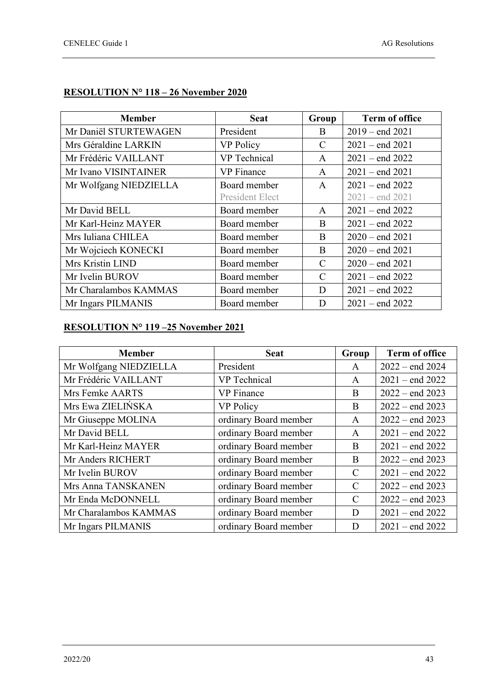#### **RESOLUTION N° 118 – 26 November 2020**

| <b>Member</b>          | <b>Seat</b>            | Group         | <b>Term of office</b> |
|------------------------|------------------------|---------------|-----------------------|
| Mr Daniël STURTEWAGEN  | President              | B             | $2019 - end 2021$     |
| Mrs Géraldine LARKIN   | <b>VP Policy</b>       | C             | $2021 - end 2021$     |
| Mr Frédéric VAILLANT   | <b>VP</b> Technical    | $\mathsf{A}$  | $2021 - end 2022$     |
| Mr Ivano VISINTAINER   | <b>VP</b> Finance      | A             | $2021 - end 2021$     |
| Mr Wolfgang NIEDZIELLA | Board member           | $\mathbf{A}$  | $2021 - end 2022$     |
|                        | <b>President Elect</b> |               | $2021 - end 2021$     |
| Mr David BELL          | Board member           | A             | $2021 -$ end 2022     |
| Mr Karl-Heinz MAYER    | Board member           | B             | $2021 - end 2022$     |
| Mrs Iuliana CHILEA     | Board member           | B             | $2020 - end 2021$     |
| Mr Wojciech KONECKI    | Board member           | B             | $2020 - end 2021$     |
| Mrs Kristin LIND       | Board member           | C             | $2020 - end 2021$     |
| Mr Ivelin BUROV        | Board member           | $\mathcal{C}$ | $2021 - end 2022$     |
| Mr Charalambos KAMMAS  | Board member           | D             | $2021 - end 2022$     |
| Mr Ingars PILMANIS     | Board member           | D             | $2021 -$ end 2022     |

#### **RESOLUTION N° 119 –25 November 2021**

| <b>Member</b>          | <b>Seat</b>           | Group         | <b>Term of office</b> |
|------------------------|-----------------------|---------------|-----------------------|
| Mr Wolfgang NIEDZIELLA | President             | A             | $2022 - end 2024$     |
| Mr Frédéric VAILLANT   | <b>VP</b> Technical   | A             | $2021 -$ end 2022     |
| Mrs Femke AARTS        | <b>VP</b> Finance     | B             | $2022 - end 2023$     |
| Mrs Ewa ZIELIŃSKA      | <b>VP Policy</b>      | B             | $2022 - end 2023$     |
| Mr Giuseppe MOLINA     | ordinary Board member | A             | $2022 - end 2023$     |
| Mr David BELL          | ordinary Board member | A             | $2021$ – end $2022$   |
| Mr Karl-Heinz MAYER    | ordinary Board member | B             | $2021 - end 2022$     |
| Mr Anders RICHERT      | ordinary Board member | B             | $2022 - end 2023$     |
| Mr Ivelin BUROV        | ordinary Board member | $\mathcal{C}$ | $2021 - end 2022$     |
| Mrs Anna TANSKANEN     | ordinary Board member | C             | $2022 - end 2023$     |
| Mr Enda McDONNELL      | ordinary Board member | C             | $2022 - end 2023$     |
| Mr Charalambos KAMMAS  | ordinary Board member | D             | $2021 - end 2022$     |
| Mr Ingars PILMANIS     | ordinary Board member | D             | $2021 - end 2022$     |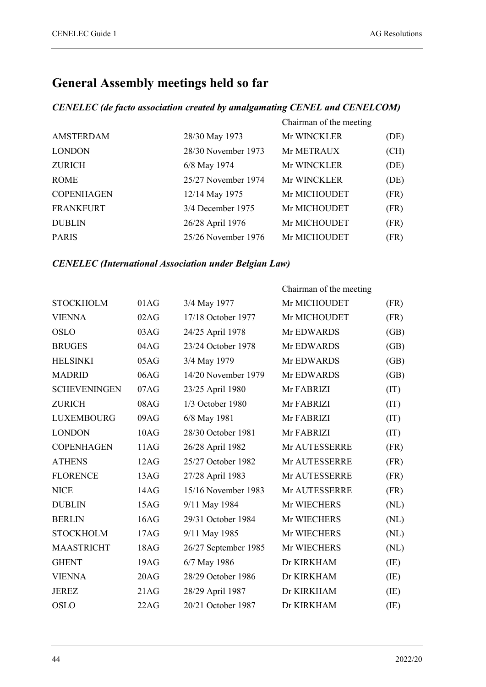### **General Assembly meetings held so far**

#### *CENELEC (de facto association created by amalgamating CENEL and CENELCOM)*

|                   |                     | Chairman of the meeting |      |
|-------------------|---------------------|-------------------------|------|
| <b>AMSTERDAM</b>  | 28/30 May 1973      | Mr WINCKLER             | (DE) |
| <b>LONDON</b>     | 28/30 November 1973 | Mr METRAUX              | (CH) |
| <b>ZURICH</b>     | 6/8 May 1974        | Mr WINCKLER             | (DE) |
| <b>ROME</b>       | 25/27 November 1974 | Mr WINCKLER             | (DE) |
| <b>COPENHAGEN</b> | 12/14 May 1975      | Mr MICHOUDET            | (FR) |
| <b>FRANKFURT</b>  | 3/4 December 1975   | Mr MICHOUDET            | (FR) |
| <b>DUBLIN</b>     | 26/28 April 1976    | Mr MICHOUDET            | (FR) |
| <b>PARIS</b>      | 25/26 November 1976 | Mr MICHOUDET            | (FR) |

#### *CENELEC (International Association under Belgian Law)*

|                     |      |                      | Chairman of the meeting |      |
|---------------------|------|----------------------|-------------------------|------|
| <b>STOCKHOLM</b>    | 01AG | 3/4 May 1977         | Mr MICHOUDET            | (FR) |
| <b>VIENNA</b>       | 02AG | 17/18 October 1977   | Mr MICHOUDET            | (FR) |
| <b>OSLO</b>         | 03AG | 24/25 April 1978     | Mr EDWARDS              | (GB) |
| <b>BRUGES</b>       | 04AG | 23/24 October 1978   | Mr EDWARDS              | (GB) |
| <b>HELSINKI</b>     | 05AG | 3/4 May 1979         | Mr EDWARDS              | (GB) |
| <b>MADRID</b>       | 06AG | 14/20 November 1979  | Mr EDWARDS              | (GB) |
| <b>SCHEVENINGEN</b> | 07AG | 23/25 April 1980     | Mr FABRIZI              | (TT) |
| <b>ZURICH</b>       | 08AG | 1/3 October 1980     | Mr FABRIZI              | (TT) |
| <b>LUXEMBOURG</b>   | 09AG | 6/8 May 1981         | Mr FABRIZI              | (TT) |
| <b>LONDON</b>       | 10AG | 28/30 October 1981   | Mr FABRIZI              | (TT) |
| <b>COPENHAGEN</b>   | 11AG | 26/28 April 1982     | Mr AUTESSERRE           | (FR) |
| <b>ATHENS</b>       | 12AG | 25/27 October 1982   | Mr AUTESSERRE           | (FR) |
| <b>FLORENCE</b>     | 13AG | 27/28 April 1983     | Mr AUTESSERRE           | (FR) |
| <b>NICE</b>         | 14AG | 15/16 November 1983  | Mr AUTESSERRE           | (FR) |
| <b>DUBLIN</b>       | 15AG | 9/11 May 1984        | Mr WIECHERS             | (NL) |
| <b>BERLIN</b>       | 16AG | 29/31 October 1984   | Mr WIECHERS             | (NL) |
| <b>STOCKHOLM</b>    | 17AG | 9/11 May 1985        | Mr WIECHERS             | (NL) |
| <b>MAASTRICHT</b>   | 18AG | 26/27 September 1985 | Mr WIECHERS             | (NL) |
| <b>GHENT</b>        | 19AG | 6/7 May 1986         | Dr KIRKHAM              | (IE) |
| <b>VIENNA</b>       | 20AG | 28/29 October 1986   | Dr KIRKHAM              | (IE) |
| <b>JEREZ</b>        | 21AG | 28/29 April 1987     | Dr KIRKHAM              | (IE) |
| <b>OSLO</b>         | 22AG | 20/21 October 1987   | Dr KIRKHAM              | (IE) |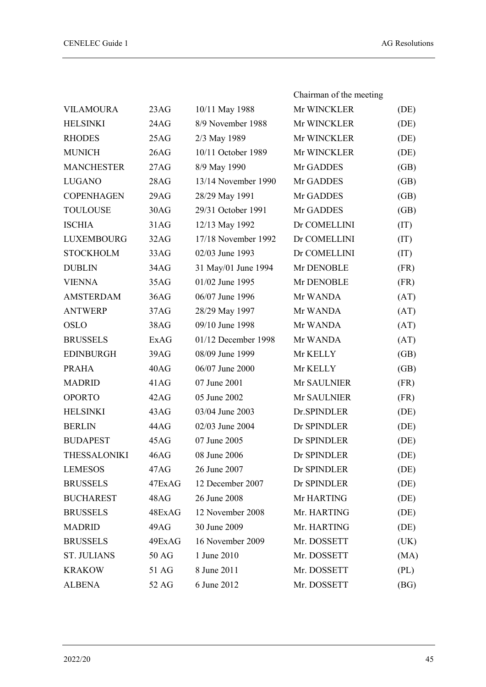|                    |        |                     | Chairman of the meeting |      |
|--------------------|--------|---------------------|-------------------------|------|
| <b>VILAMOURA</b>   | 23AG   | 10/11 May 1988      | Mr WINCKLER             | (DE) |
| <b>HELSINKI</b>    | 24AG   | 8/9 November 1988   | Mr WINCKLER             | (DE) |
| <b>RHODES</b>      | 25AG   | 2/3 May 1989        | Mr WINCKLER             | (DE) |
| <b>MUNICH</b>      | 26AG   | 10/11 October 1989  | Mr WINCKLER             | (DE) |
| <b>MANCHESTER</b>  | 27AG   | 8/9 May 1990        | Mr GADDES               | (GB) |
| <b>LUGANO</b>      | 28AG   | 13/14 November 1990 | Mr GADDES               | (GB) |
| <b>COPENHAGEN</b>  | 29AG   | 28/29 May 1991      | Mr GADDES               | (GB) |
| <b>TOULOUSE</b>    | 30AG   | 29/31 October 1991  | Mr GADDES               | (GB) |
| <b>ISCHIA</b>      | 31AG   | 12/13 May 1992      | Dr COMELLINI            | (IT) |
| <b>LUXEMBOURG</b>  | 32AG   | 17/18 November 1992 | Dr COMELLINI            | (IT) |
| <b>STOCKHOLM</b>   | 33AG   | 02/03 June 1993     | Dr COMELLINI            | (TI) |
| <b>DUBLIN</b>      | 34AG   | 31 May/01 June 1994 | Mr DENOBLE              | (FR) |
| <b>VIENNA</b>      | 35AG   | 01/02 June 1995     | Mr DENOBLE              | (FR) |
| <b>AMSTERDAM</b>   | 36AG   | 06/07 June 1996     | Mr WANDA                | (AT) |
| <b>ANTWERP</b>     | 37AG   | 28/29 May 1997      | Mr WANDA                | (AT) |
| <b>OSLO</b>        | 38AG   | 09/10 June 1998     | Mr WANDA                | (AT) |
| <b>BRUSSELS</b>    | ExAG   | 01/12 December 1998 | Mr WANDA                | (AT) |
| <b>EDINBURGH</b>   | 39AG   | 08/09 June 1999     | Mr KELLY                | (GB) |
| <b>PRAHA</b>       | 40AG   | 06/07 June 2000     | Mr KELLY                | (GB) |
| <b>MADRID</b>      | 41AG   | 07 June 2001        | Mr SAULNIER             | (FR) |
| <b>OPORTO</b>      | 42AG   | 05 June 2002        | Mr SAULNIER             | (FR) |
| <b>HELSINKI</b>    | 43AG   | 03/04 June 2003     | Dr.SPINDLER             | (DE) |
| <b>BERLIN</b>      | 44AG   | 02/03 June 2004     | Dr SPINDLER             | (DE) |
| <b>BUDAPEST</b>    | 45AG   | 07 June 2005        | Dr SPINDLER             | (DE) |
| THESSALONIKI       | 46AG   | 08 June 2006        | Dr SPINDLER             | (DE) |
| <b>LEMESOS</b>     | 47AG   | 26 June 2007        | Dr SPINDLER             | (DE) |
| <b>BRUSSELS</b>    | 47ExAG | 12 December 2007    | Dr SPINDLER             | (DE) |
| <b>BUCHAREST</b>   | 48AG   | 26 June 2008        | Mr HARTING              | (DE) |
| <b>BRUSSELS</b>    | 48ExAG | 12 November 2008    | Mr. HARTING             | (DE) |
| <b>MADRID</b>      | 49AG   | 30 June 2009        | Mr. HARTING             | (DE) |
| <b>BRUSSELS</b>    | 49ExAG | 16 November 2009    | Mr. DOSSETT             | (UK) |
| <b>ST. JULIANS</b> | 50 AG  | 1 June 2010         | Mr. DOSSETT             | (MA) |
| <b>KRAKOW</b>      | 51 AG  | 8 June 2011         | Mr. DOSSETT             | (PL) |
| <b>ALBENA</b>      | 52 AG  | 6 June 2012         | Mr. DOSSETT             | (BG) |